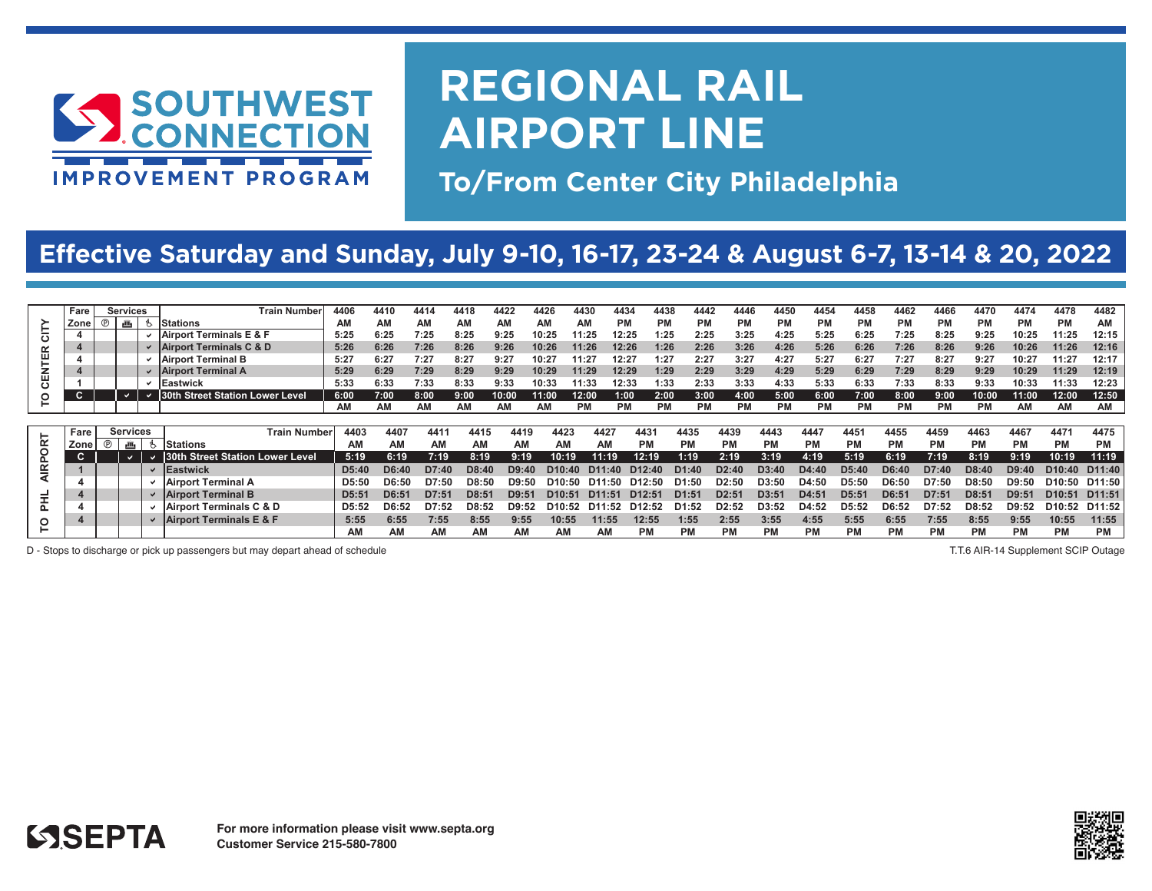

## **REGIONAL RAIL AIRPORT LINE**

**To/From Center City Philadelphia**

### **Effective Saturday and Sunday, July 9-10, 16-17, 23-24 & August 6-7, 13-14 & 20, 2022**

|           | Fare | Services                            |   | <b>Train Number</b>                | 4406               | 441       | 4414  | 4418               | 4422  | 4426<br>443        | 4434            | 4438               | 4442      | 4446      | 4450              | 4454  | 4458              | 4462      | 4466      | 4470      | 4474      | 4478               | 4482               |
|-----------|------|-------------------------------------|---|------------------------------------|--------------------|-----------|-------|--------------------|-------|--------------------|-----------------|--------------------|-----------|-----------|-------------------|-------|-------------------|-----------|-----------|-----------|-----------|--------------------|--------------------|
|           | Zor  | ®<br>, ա                            |   | <b>Stations</b>                    | ΑM                 | AМ        | AM    | АM                 | ΑМ    | АΜ                 | <b>PM</b><br>ΑM | РM                 | <b>PM</b> | <b>PM</b> | РM                | РM    | <b>PM</b>         | <b>PM</b> | <b>PM</b> | <b>PM</b> | РM        | <b>PM</b>          | AM                 |
| ပ         |      |                                     |   | Airport Terminals E & F            | 5:25               | 6:25      | 7:25  | 8:25               | 9:25  | 10:25              | 12:25<br>1:25   | 1:25               | 2:25      | 3:25      | 4:25              | 5:25  | 6:25              | 7:25      | 8:25      | 9:25      | 10:25     | 11:25              | 12:15              |
| $\propto$ |      |                                     |   | <b>Airport Terminals C &amp; D</b> | 5:26               | 6:26      | 7:26  | 8:26               | 9:26  | 10:26              | 12:26<br>1:26   | 1:26               | 2:26      | 3:26      | 4:26              | 5:26  | 6:26              | 7:26      | 8:26      | 9:26      | 10:26     | 11:26              | 12:16              |
| 画         |      |                                     |   | Airport Terminal B                 | 5:27               | 6:27      | 7:27  | 8:27               | 9:27  | 10:27              | 12:27<br>.1:27  | 1:27               | 2:27      | 3:27      | 4:27              | 5:27  | 6:27              | 7:27      | 8:27      | 9:27      | 10:27     | 11:27              | 12:17              |
| 옶         |      |                                     |   | <b>Airport Terminal A</b>          | 5:29               | 6:29      | 7:29  | 8:29               | 9:29  | 10:29              | 11:29<br>12:29  | 1:29               | 2:29      | 3:29      | 4:29              | 5:29  | 6:29              | 7:29      | 8:29      | 9:29      | 10:29     | 11:29              | 12:19              |
| ပ         |      |                                     |   | Eastwick                           | 5:33               | 6:33      | 7:33  | 8:33               | 9:33  | 10:33              | 12:33<br>1:33   | 1:33               | 2:33      | 3:33      | 4:33              | 5:33  | 6:33              | 7:33      | 8:33      | 9:33      | 10:33     | 11:33              | 12:23              |
| $\circ$   | C.   |                                     |   | 30th Street Station Lower Level    | 6:00               | 7:00      | 8:00  | 9:00               | 10:00 | 11:00              | 12:00<br>1:00   | 2:00               | 3:00      | 4:00      | 5:00              | 6:00  | 7:00              | 8:00      | 9:00      | 10:00     | 11:00     | 12:00              | 12:50              |
|           |      |                                     |   |                                    | <b>AM</b>          | AM        | AM    |                    | AΜ    | АM                 | <b>PM</b><br>РM | PM                 | <b>PM</b> | <b>PM</b> | PM                | PM    | <b>PM</b>         | <b>PM</b> | <b>PM</b> | <b>PM</b> | AM        | AM                 | AM                 |
|           |      |                                     |   |                                    |                    |           |       |                    |       |                    |                 |                    |           |           |                   |       |                   |           |           |           |           |                    |                    |
|           |      |                                     |   |                                    |                    |           |       |                    |       |                    |                 |                    |           |           |                   |       |                   |           |           |           |           |                    |                    |
|           | Fare | <b>Services</b>                     |   | <b>Train Number</b>                | 4403               | 4407      | 441'  | 4415               | 4419  | 4423               | 4427            | 4431               | 4435      | 4439      | 4443              | 4447  | 4451              | 4455      | 4459      | 4463      | 4467      | 4471               | 4475               |
|           | Zone | $^{\circ}$<br>$\overline{\rm HI}_2$ | ზ | Stations                           | AM                 | <b>AM</b> | ΑМ    | AM                 | AN    | ΑМ                 | АΜ              |                    | РM        | PM        | РM                | РM    | РM                | РM        | РM        | РM        | <b>PM</b> | <b>PM</b>          | <b>PM</b>          |
| ORT<br>ā  | C.   |                                     |   | 30th Street Station Lower Level    | 5:19               | 6:19      | 7:19  | 8:19               | 9:19  | 10:19              | 11:19           | 12:19              | 1:19      | 2:19      | 3:19              | 4:19  | 5:19              | 6:19      | 7:19      | 8:19      | 9:19      | 10:19              | 11:19              |
| ≅         |      |                                     |   | Eastwick                           | D5:40              | D6:40     | D7.4  | DS:4               | D9.4  |                    |                 |                    | D1:40     | D2:4      | D3:4              | D4:4  | D5.4              | D6:40     | D7:40     |           | D9:40     | D <sub>10:40</sub> | D <sub>11:40</sub> |
| ◀         |      |                                     |   | <b>Airport Terminal A</b>          | D5:50              | D6:50     | D7:50 | D8:50              | D9.50 |                    | D1              | D12:50             | D1:50     | D2:5      | D3:50             | D4:50 | D5:50             | D6:5      | D7:50     | D8:50     | D9:50     | D10:50             | D <sub>11:50</sub> |
|           |      |                                     |   | <b>Airport Terminal B</b>          | D <sub>5</sub> :51 | D6:51     | D7:51 | D <sub>8</sub> :51 | D9:51 | D <sub>10:51</sub> | D1<br>1:51      | D12:5'             | D1:51     | D2:51     | D <sub>3:51</sub> | D4:51 | D <sub>5:51</sub> | D6:51     | D7:51     | D8:51     | D9:51     | D <sub>10:51</sub> | D <sub>11:51</sub> |
| ᆂ         |      |                                     |   | Airport Terminals C & D            | D5:52              | D6:52     | D7:52 | D8:52              | D9:52 | D <sub>10:52</sub> | .52<br>D1       | D <sub>12:52</sub> | D1:52     | D2:52     | D3:52             | D4:52 | D <sub>5:52</sub> | D6:52     | D7:52     | D8:52     | D9:52     | D10:52             | D11:52             |
| O         |      |                                     |   | $\vee$   Airport Terminals E & F   | 5:55               | 6:55      | 7:55  | 8:55               | 9:55  | 10:55              | 11:55           | 12:55              | 1:55      | 2:55      | 3:55              | 4:55  | 5:55              | 6:55      | 7:55      | 8:55      | 9:55      | 10:55              | 11:55              |

D - Stops to discharge or pick up passengers but may depart ahead of schedule **the controller of the controller** of the controller of the controller of the controller of the controller of the controller of the controller o

**T.T.6 AIR-14 Supplement SCIP utage T.T.6 AIR-14 Supplement SCIP utage**

**SSEPTA** 

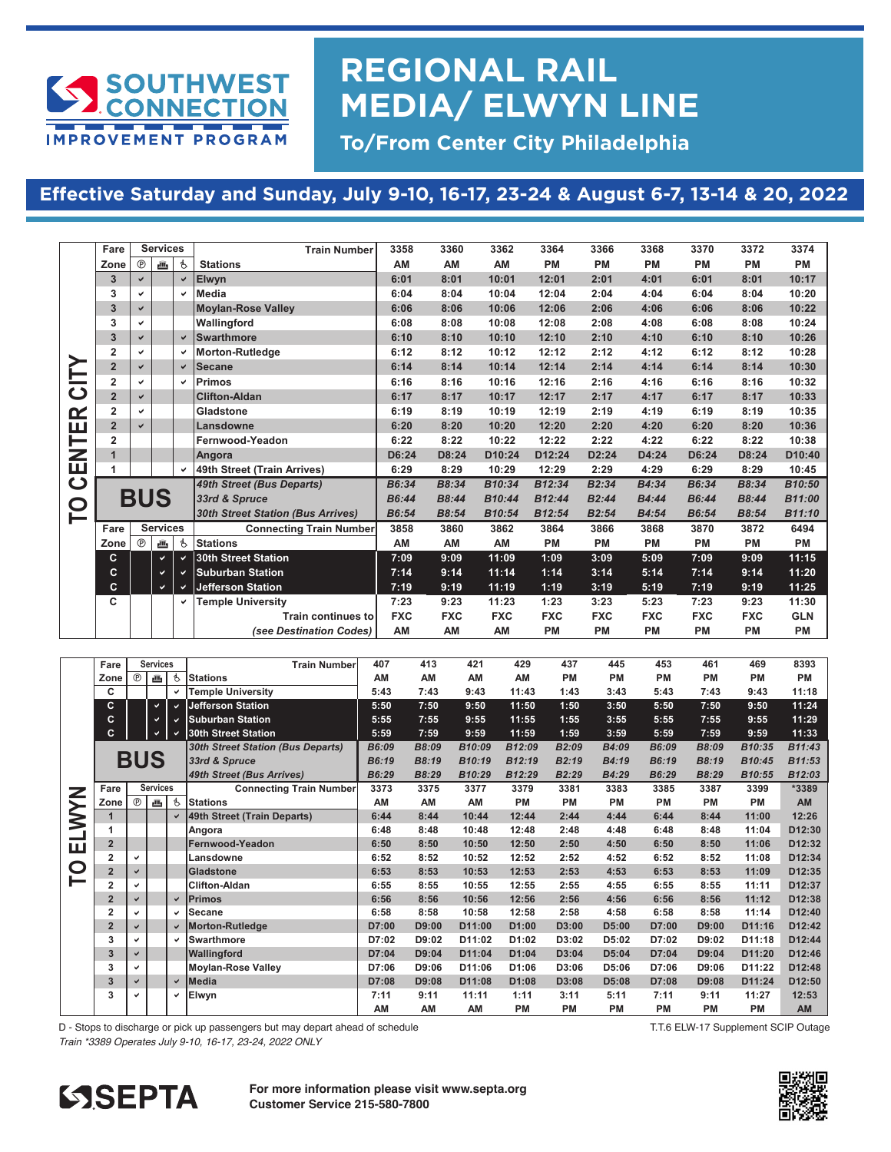

## **REGIONAL RAIL MEDIA/ ELWYN LINE**

**To/From Center City Philadelphia**

#### **Effective Saturday and Sunday, July 9-10, 16-17, 23-24 & August 6-7, 13-14 & 20, 2022**

|                         | Fare                    |              | <b>Services</b> |    | <b>Train Number</b>                      | 3358       | 3360       | 3362       | 3364       | 3366               | 3368       | 3370       | 3372       | 3374       |
|-------------------------|-------------------------|--------------|-----------------|----|------------------------------------------|------------|------------|------------|------------|--------------------|------------|------------|------------|------------|
|                         | Zone                    | $^{\circ}$   | க               | q. | <b>Stations</b>                          | AM         | AM         | AM         | <b>PM</b>  | <b>PM</b>          | <b>PM</b>  | <b>PM</b>  | <b>PM</b>  | <b>PM</b>  |
|                         | 3                       | $\checkmark$ |                 | ✔  | Elwyn                                    | 6:01       | 8:01       | 10:01      | 12:01      | 2:01               | 4:01       | 6:01       | 8:01       | 10:17      |
|                         | 3                       | V            |                 |    | <b>Media</b>                             | 6:04       | 8:04       | 10:04      | 12:04      | 2:04               | 4:04       | 6:04       | 8:04       | 10:20      |
|                         | $\overline{3}$          | $\checkmark$ |                 |    | <b>Moylan-Rose Valley</b>                | 6:06       | 8:06       | 10:06      | 12:06      | 2:06               | 4:06       | 6:06       | 8:06       | 10:22      |
|                         | 3                       | V            |                 |    |                                          | 6:08       | 8:08       | 10:08      | 12:08      | 2:08               | 4:08       | 6:08       | 8:08       | 10:24      |
|                         |                         |              |                 |    | Wallingford<br>Swarthmore                | 6:10       | 8:10       |            |            |                    |            | 6:10       |            | 10:26      |
|                         | 3<br>$\overline{2}$     | $\checkmark$ |                 | ✔  |                                          |            |            | 10:10      | 12:10      | 2:10               | 4:10       |            | 8:10       |            |
|                         | $\overline{2}$          | v            |                 |    | <b>Morton-Rutledge</b>                   | 6:12       | 8:12       | 10:12      | 12:12      | 2:12               | 4:12       | 6:12       | 8:12       | 10:28      |
|                         |                         | $\checkmark$ |                 | ✔  | <b>Secane</b>                            | 6:14       | 8:14       | 10:14      | 12:14      | 2:14               | 4:14       | 6:14       | 8:14       | 10:30      |
| <b>UD</b>               | $\overline{\mathbf{2}}$ | U            |                 | v  | Primos                                   | 6:16       | 8:16       | 10:16      | 12:16      | 2:16               | 4:16       | 6:16       | 8:16       | 10:32      |
|                         | $\overline{2}$          | $\checkmark$ |                 |    | <b>Clifton-Aldan</b>                     | 6:17       | 8:17       | 10:17      | 12:17      | 2:17               | 4:17       | 6:17       | 8:17       | 10:33      |
| $\alpha$                | $\overline{2}$          | v            |                 |    | Gladstone                                | 6:19       | 8:19       | 10:19      | 12:19      | 2:19               | 4:19       | 6:19       | 8:19       | 10:35      |
| ш                       | $\overline{2}$          | $\checkmark$ |                 |    | Lansdowne                                | 6:20       | 8:20       | 10:20      | 12:20      | 2:20               | 4:20       | 6:20       | 8:20       | 10:36      |
|                         | $\overline{2}$          |              |                 |    | Fernwood-Yeadon                          | 6:22       | 8:22       | 10:22      | 12:22      | 2:22               | 4:22       | 6:22       | 8:22       | 10:38      |
| <b>三乙</b>               | $\mathbf{1}$            |              |                 |    | Angora                                   | D6:24      | D8:24      | D10:24     | D12:24     | D <sub>2</sub> :24 | D4:24      | D6:24      | D8:24      | D10:40     |
|                         | $\mathbf{1}$            |              |                 |    | 49th Street (Train Arrives)              | 6:29       | 8:29       | 10:29      | 12:29      | 2:29               | 4:29       | 6:29       | 8:29       | 10:45      |
| $\overline{\mathbf{C}}$ |                         |              |                 |    | 49th Street (Bus Departs)                | B6:34      | B8:34      | B10:34     | B12:34     | B2:34              | B4:34      | B6:34      | B8:34      | B10:50     |
| $\overline{\mathbf{C}}$ |                         |              | <b>BUS</b>      |    | 33rd & Spruce                            | B6:44      | B8:44      | B10:44     | B12:44     | B2:44              | B4:44      | B6:44      | B8:44      | B11:00     |
| ⊢                       |                         |              |                 |    | <b>30th Street Station (Bus Arrives)</b> | B6:54      | B8:54      | B10:54     | B12:54     | B2:54              | B4:54      | B6:54      | B8:54      | B11:10     |
|                         | Fare                    |              | <b>Services</b> |    | <b>Connecting Train Number</b>           | 3858       | 3860       | 3862       | 3864       | 3866               | 3868       | 3870       | 3872       | 6494       |
|                         | Zone                    | $^{\circ}$   | க               | P  | <b>Stations</b>                          | AM         | AM         | AM         | <b>PM</b>  | <b>PM</b>          | <b>PM</b>  | PM         | <b>PM</b>  | PM         |
|                         | C.                      |              | v               |    | 30th Street Station                      | 7:09       | 9:09       | 11:09      | 1:09       | 3:09               | 5:09       | 7:09       | 9:09       | 11:15      |
|                         | <sub>C</sub>            |              | v               | v  | <b>Suburban Station</b>                  | 7:14       | 9:14       | 11:14      | 1:14       | 3:14               | 5:14       | 7:14       | 9:14       | 11:20      |
|                         | C.                      |              | $\checkmark$    | ✓  | <b>Jefferson Station</b>                 | 7:19       | 9:19       | 11:19      | 1:19       | 3:19               | 5:19       | 7:19       | 9:19       | 11:25      |
|                         | C                       |              |                 |    | <b>Temple University</b>                 | 7:23       | 9:23       | 11:23      | 1:23       | 3:23               | 5:23       | 7:23       | 9:23       | 11:30      |
|                         |                         |              |                 |    | <b>Train continues to</b>                | <b>FXC</b> | <b>FXC</b> | <b>FXC</b> | <b>FXC</b> | <b>FXC</b>         | <b>FXC</b> | <b>FXC</b> | <b>FXC</b> | <b>GLN</b> |
|                         |                         |              |                 |    | (see Destination Codes)                  | AM         | AM         | AM         | <b>PM</b>  | PM                 | PM         | PM         | PM         | PM         |

|              | Fare                    |              | <b>Services</b> |                           | <b>Train Number</b>                      | 407   | 413   | 421                 | 429       | 437               | 445       | 453       | 461       | 469                 | 8393               |
|--------------|-------------------------|--------------|-----------------|---------------------------|------------------------------------------|-------|-------|---------------------|-----------|-------------------|-----------|-----------|-----------|---------------------|--------------------|
|              | Zone                    | $^{\circ}$   | 画               | Ġ                         | <b>Stations</b>                          | AM    | AM    | AM                  | AM        | <b>PM</b>         | <b>PM</b> | <b>PM</b> | PM        | PM                  | <b>PM</b>          |
|              | C                       |              |                 | $\checkmark$              | <b>Temple University</b>                 | 5:43  | 7:43  | 9:43                | 11:43     | 1:43              | 3:43      | 5:43      | 7:43      | 9:43                | 11:18              |
|              | C                       |              | $\checkmark$    | $\checkmark$              | <b>Jefferson Station</b>                 | 5:50  | 7:50  | 9:50                | 11:50     | 1:50              | 3:50      | 5:50      | 7:50      | 9:50                | 11:24              |
|              | c                       |              | v.              | $\checkmark$              | <b>Suburban Station</b>                  | 5:55  | 7:55  | 9:55                | 11:55     | 1:55              | 3:55      | 5:55      | 7:55      | 9:55                | 11:29              |
|              | c                       |              | v.              | $\checkmark$              | <b>30th Street Station</b>               | 5:59  | 7:59  | 9:59                | 11:59     | 1:59              | 3:59      | 5:59      | 7:59      | 9:59                | 11:33              |
|              |                         |              |                 |                           | <b>30th Street Station (Bus Departs)</b> | B6:09 | B8:09 | B10:09              | B12:09    | B <sub>2:09</sub> | B4:09     | B6:09     | B8:09     | B10:35              | B11:43             |
|              |                         | <b>BUS</b>   |                 |                           | 33rd & Spruce                            | B6:19 | B8:19 | B <sub>10</sub> :19 | B12:19    | B2:19             | B4:19     | B6:19     | B8:19     | B <sub>10</sub> :45 | B11:53             |
|              |                         |              |                 | 49th Street (Bus Arrives) |                                          | B6:29 | B8:29 | B10:29              | B12:29    | B2:29             | B4:29     | B6:29     | B8:29     | B10:55              | B12:03             |
|              | Fare                    |              | <b>Services</b> |                           | <b>Connecting Train Number</b>           | 3373  | 3375  | 3377                | 3379      | 3381              | 3383      | 3385      | 3387      | 3399                | *3389              |
| <b>NYW</b> . | Zone                    | $^{\circ}$   | 画               | P                         | <b>Stations</b>                          | AM    | AM    | AM                  | <b>PM</b> | <b>PM</b>         | PM        | <b>PM</b> | <b>PM</b> | PM                  | <b>AM</b>          |
|              |                         |              |                 | $\checkmark$              | 49th Street (Train Departs)              | 6:44  | 8:44  | 10:44               | 12:44     | 2:44              | 4:44      | 6:44      | 8:44      | 11:00               | 12:26              |
|              | 1                       |              |                 |                           | Angora                                   | 6:48  | 8:48  | 10:48               | 12:48     | 2:48              | 4:48      | 6:48      | 8:48      | 11:04               | D <sub>12:30</sub> |
| ш            | $\overline{2}$          |              |                 |                           | Fernwood-Yeadon                          | 6:50  | 8:50  | 10:50               | 12:50     | 2:50              | 4:50      | 6:50      | 8:50      | 11:06               | D <sub>12:32</sub> |
|              | $\overline{2}$          | $\checkmark$ |                 |                           | Lansdowne                                | 6:52  | 8:52  | 10:52               | 12:52     | 2:52              | 4:52      | 6:52      | 8:52      | 11:08               | D12:34             |
| O            | $\overline{\mathbf{2}}$ | ✓            |                 |                           | Gladstone                                | 6:53  | 8:53  | 10:53               | 12:53     | 2:53              | 4:53      | 6:53      | 8:53      | 11:09               | D <sub>12:35</sub> |
|              | $\overline{2}$          | ✓            |                 |                           | <b>Clifton-Aldan</b>                     | 6:55  | 8:55  | 10:55               | 12:55     | 2:55              | 4:55      | 6:55      | 8:55      | 11:11               | D12:37             |
|              | $\overline{2}$          | ✓            |                 | $\checkmark$              | <b>Primos</b>                            | 6:56  | 8:56  | 10:56               | 12:56     | 2:56              | 4:56      | 6:56      | 8:56      | 11:12               | D12:38             |
|              | $\overline{2}$          | ✓            |                 | v                         | <b>Secane</b>                            | 6:58  | 8:58  | 10:58               | 12:58     | 2:58              | 4:58      | 6:58      | 8:58      | 11:14               | D12:40             |
|              | $\overline{2}$          | ✓            |                 | $\checkmark$              | Morton-Rutledge                          | D7:00 | D9:00 | D11:00              | D1:00     | D3:00             | D5:00     | D7:00     | D9:00     | D11:16              | D <sub>12:42</sub> |
|              | 3                       | ✓            |                 | v                         | Swarthmore                               | D7:02 | D9:02 | D11:02              | D1:02     | D3:02             | D5:02     | D7:02     | D9:02     | D11:18              | D12:44             |
|              | 3                       | ✓            |                 |                           | Wallingford                              | D7:04 | D9:04 | D11:04              | D1:04     | D3:04             | D5:04     | D7:04     | D9:04     | D11:20              | D12:46             |
|              | 3                       | ✓            |                 |                           | <b>Moylan-Rose Valley</b>                | D7:06 | D9:06 | D11:06              | D1:06     | D3:06             | D5:06     | D7:06     | D9:06     | D11:22              | D12:48             |
|              | 3                       | ✓            |                 | $\checkmark$              | Media                                    | D7:08 | D9:08 | D11:08              | D1:08     | D3:08             | D5:08     | D7:08     | D9:08     | D11:24              | D <sub>12:50</sub> |
|              | 3                       | ✓            |                 | v                         | Elwyn                                    | 7:11  | 9:11  | 11:11               | 1:11      | 3:11              | 5:11      | 7:11      | 9:11      | 11:27               | 12:53              |
|              |                         |              |                 |                           |                                          | AM    | AM    | AM                  | <b>PM</b> | <b>PM</b>         | <b>PM</b> | PM        | PM        | PM                  | AM                 |

D - Stops to discharge or pick up passengers but may depart ahead of schedule **3 Elwyn 7:11 9:11 11:11 1:11 3:11 5:11 7:11 9:11 11:27 12:53 Fare Connecting Train Number 3858 3860 3862 3864 3866 3868 3870 3872 6494 Services**

*Train \*3389 Operates July 9-10, 16-17, 23-24, 2022 ONLY <b>AMA CONDUCT BOOM CONDUCT BOOM CONDUCTS AND RELET TO DEPPRESSIVE CONDUCTS AND RELET TO DEPPRESSIVE CONDUCTS AND RELET TO DEPPRESSIVE CONDUCTS AND RELET TO DEPPRESS* **C**  $\frac{1}{2}$  **C 30th**  $\frac{1}{2}$  **1:09 1:09 1:09 1:09 1:09 1:09 1:09 1:09 1:09 1:09 1:09 1:09 1:09 1:09 1:09 1:09 1:09 1:09 1:09 1:09 1:09 1:09 1:09 1:09 1:09 1:09 1:09** 



**C Jefferson Station 7:19 9:19 11:19 1:19 3:19 5:19 7:19 9:19 11:25 CO TA** For more information please visit www.septa.org<br> **FO TA** For more information please visit www.septa.org  $\textbf{Customer Service 215-580-7800} \quad \textbf{SFR}$ 



T.T.6 ELW-17 Supplement SCIP Outage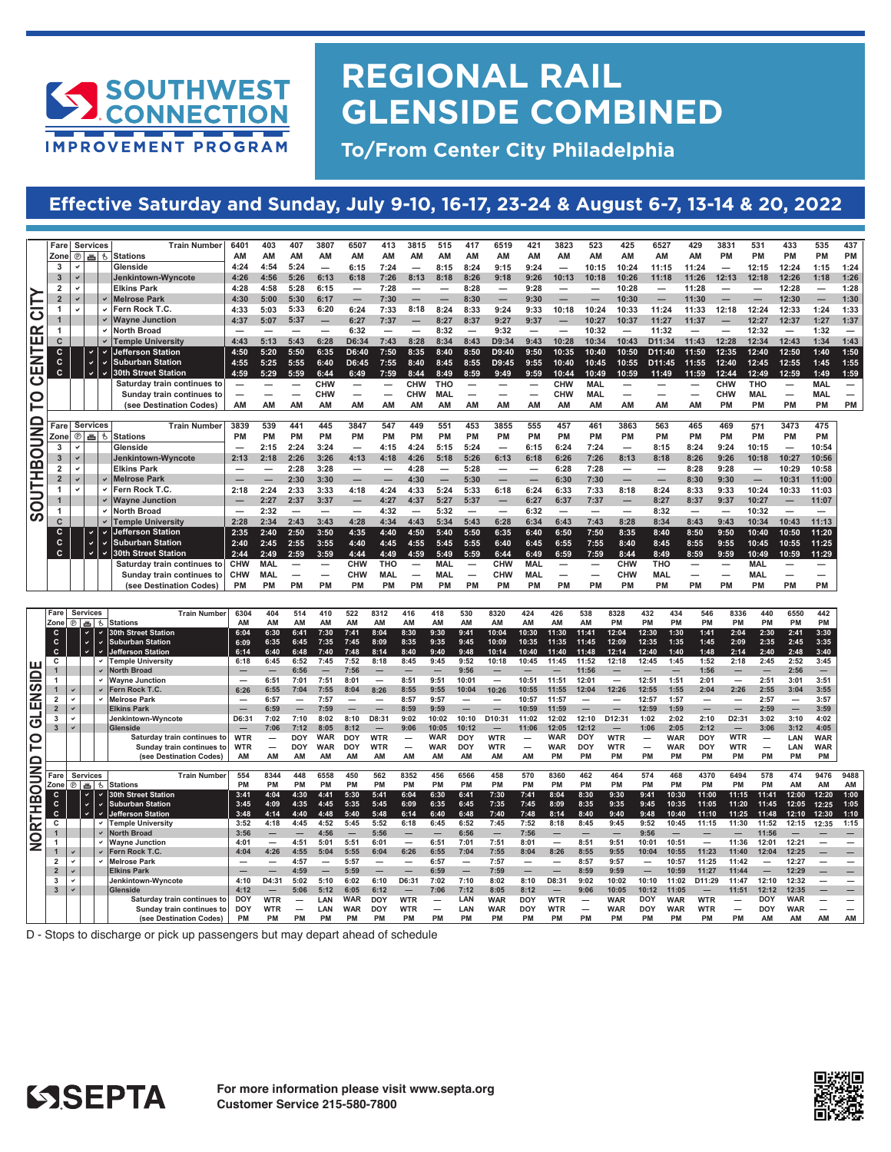

## **REGIONAL RAIL GLENSIDE COMBINED**

**To/From Center City Philadelphia**

#### **Effective Saturday and Sunday, July 9-10, 16-17, 23-24 & August 6-7, 13-14 & 20, 2022**

| Fare Services                                                                                                                                                                                                                                                                                                                                                                                                                                                 | Train Number 6401                                                                                                                                                                                                                                                                                                                                                                                                                           |                                                  |                                     | 403 407 3807 6507 413 3815 515 417 6519 421 3823 523 425 6527 429 3831 531 433                                                       |                                                        |                                   | 535 437                           |
|---------------------------------------------------------------------------------------------------------------------------------------------------------------------------------------------------------------------------------------------------------------------------------------------------------------------------------------------------------------------------------------------------------------------------------------------------------------|---------------------------------------------------------------------------------------------------------------------------------------------------------------------------------------------------------------------------------------------------------------------------------------------------------------------------------------------------------------------------------------------------------------------------------------------|--------------------------------------------------|-------------------------------------|--------------------------------------------------------------------------------------------------------------------------------------|--------------------------------------------------------|-----------------------------------|-----------------------------------|
| h <del>an an</del><br>Zone @ 画 も Stations                                                                                                                                                                                                                                                                                                                                                                                                                     | AM AM AM                                                                                                                                                                                                                                                                                                                                                                                                                                    | <b>AM</b><br><b>AM</b>                           | <b>AM</b><br><b>AM</b>              | <b>AM</b><br>ΔM<br>AM                                                                                                                | AM                                                     | PM PM PM PM                       |                                   |
| <b>I</b> Glenside<br>3 I V I                                                                                                                                                                                                                                                                                                                                                                                                                                  | 4:24  4:54  5:24                                                                                                                                                                                                                                                                                                                                                                                                                            |                                                  |                                     | $-$ 6.15 7.24 $-$ 8.15 8.24 9.15 9.24 $-$ 10.15 10.24 11.15 11.24 $-$ 12.15                                                          |                                                        |                                   | 12:24 1:15 1:2                    |
| $3 \times$<br>Jenkintown-Wyncote                                                                                                                                                                                                                                                                                                                                                                                                                              |                                                                                                                                                                                                                                                                                                                                                                                                                                             |                                                  |                                     | 4:26  4:56  5:26  6:13  6:18  7:26  8:13  8:18  8:26  9:18  9:26  10:13  10:13  10:26  11:18  11:26  12:13  12:18  12:26  1:18  1:20 |                                                        |                                   |                                   |
| <b>Elkins Park</b>                                                                                                                                                                                                                                                                                                                                                                                                                                            | $4:28$ $4:58$ $5:28$ $6:15$ - 7:28                                                                                                                                                                                                                                                                                                                                                                                                          |                                                  |                                     | — — 8:28 — 9:28 — — 10:28 — 11:28 — — 12:28 — 1:28                                                                                   |                                                        |                                   |                                   |
| √ Melrose Parl                                                                                                                                                                                                                                                                                                                                                                                                                                                | $4:30$ 5:00 5:30 6:17                                                                                                                                                                                                                                                                                                                                                                                                                       | 7:30                                             | $-8:30$<br>$ -$                     | $\sim$ $ -$                                                                                                                          | 10:30<br>11:30<br>$\overline{\phantom{a}}$             | $-$<br>$\sim$ $ -$                | $12:30 -$                         |
| Fern Rock T.                                                                                                                                                                                                                                                                                                                                                                                                                                                  |                                                                                                                                                                                                                                                                                                                                                                                                                                             |                                                  |                                     | (4:33 5:03 5:33 6:20 6:24 7:33 8:18 8:24 8:33 9:24 9:33 10:18 10:24 10:33 11:24 11:33 12:18 12:24 12:33 1:24 1:33                    |                                                        |                                   |                                   |
| √ Wavne Junctio                                                                                                                                                                                                                                                                                                                                                                                                                                               | $4:37$ 5:07 5:37 - 6:27 7:37                                                                                                                                                                                                                                                                                                                                                                                                                |                                                  | $-8.27$ 8.37 9.27                   | 9:37<br>$-$ 10:27 10:37 11:27                                                                                                        |                                                        | $11:37 - 12:27$                   | 12:37 1:27 1:37                   |
| North Broad                                                                                                                                                                                                                                                                                                                                                                                                                                                   |                                                                                                                                                                                                                                                                                                                                                                                                                                             |                                                  | $6:32$ - $ 8:32$ - $9:32$           | $ -$ 10:32 $-$ 11:32 $ -$                                                                                                            |                                                        | 12:32                             | $-$ 1:32 $-$                      |
| V Temple University                                                                                                                                                                                                                                                                                                                                                                                                                                           |                                                                                                                                                                                                                                                                                                                                                                                                                                             |                                                  |                                     | 4:43 5:13 5:43 6:28 D6:34 7:43 8:28 8:34 8:43 D9:34 9:43 10:28 10:34 10:43 D11:34 11:43 12:28 12:34 12:43 1:43 1:43                  |                                                        |                                   |                                   |
| ↓ Jefferson Station                                                                                                                                                                                                                                                                                                                                                                                                                                           | 4:50 5:20 5:50                                                                                                                                                                                                                                                                                                                                                                                                                              | 6.35<br>D6:40 7:50 8:35                          |                                     | 8:40 8:50  D9:40  9:50  10:35  10:40  10:50  D11:40  11:50  12:35  12:40  12:50  1:40                                                |                                                        |                                   |                                   |
| Suburban Station                                                                                                                                                                                                                                                                                                                                                                                                                                              | $4:55$ $5:25$ $5:55$                                                                                                                                                                                                                                                                                                                                                                                                                        | 6:40                                             |                                     | D6:45 7:55 8:40 8:45 8:55 D9:45 9:55 10:40 10:45 10:55 D11:45 11:55 12:40 12:45 12:55 1:45                                           |                                                        |                                   |                                   |
| V V 30th Street Station                                                                                                                                                                                                                                                                                                                                                                                                                                       |                                                                                                                                                                                                                                                                                                                                                                                                                                             |                                                  |                                     | 4:59 5:29 5:59 6:44 6:49 7:59 8:44 8:49 8:59 9:49 9:59 10:44 10:49 10:59 11:49 11:59 12:44 12:49 12:59 1:49 1:59                     |                                                        |                                   |                                   |
|                                                                                                                                                                                                                                                                                                                                                                                                                                                               | Saturday train continues to $\overline{\phantom{a}}$ $\overline{\phantom{a}}$ $\overline{\phantom{a}}$ $\overline{\phantom{a}}$ $\overline{\phantom{a}}$ $\overline{\phantom{a}}$ $\overline{\phantom{a}}$ $\overline{\phantom{a}}$ $\overline{\phantom{a}}$ $\overline{\phantom{a}}$ $\overline{\phantom{a}}$ $\overline{\phantom{a}}$ $\overline{\phantom{a}}$ $\overline{\phantom{a}}$ $\overline{\phantom{a}}$ $\overline{\phantom{a}}$ |                                                  |                                     | — — CHW THO — — — CHW MAL — — — CHW THO                                                                                              |                                                        |                                   | — MAL                             |
| <b>Sunday train continues to</b><br>ורו                                                                                                                                                                                                                                                                                                                                                                                                                       | $  -$                                                                                                                                                                                                                                                                                                                                                                                                                                       | <b>CHW</b><br><b>CHW</b>                         | $\sim$ $\sim$                       | CHW<br>MAL<br>$\sim$ $\sim$                                                                                                          | $\sim$<br>$\sim$ $\sim$ $\sim$<br>$\sim$ $\sim$ $\sim$ | <b>CHW</b><br>MAL                 | <b>MAL</b><br>$\sim$              |
| (see Destination Codes)                                                                                                                                                                                                                                                                                                                                                                                                                                       | AM AM AM                                                                                                                                                                                                                                                                                                                                                                                                                                    | <b>AM</b><br><b>AM</b><br><b>AM</b><br><b>AM</b> | <b>AM</b><br>ΔM<br><b>AM</b>        | <b>AM</b><br><b>AM</b><br><b>AM</b>                                                                                                  | <b>AM</b><br><b>AM</b><br><b>AM</b>                    | PM PM                             | PM PM PM                          |
|                                                                                                                                                                                                                                                                                                                                                                                                                                                               |                                                                                                                                                                                                                                                                                                                                                                                                                                             |                                                  |                                     |                                                                                                                                      |                                                        |                                   |                                   |
| $\boxed{\underline{\square}}$ Fare Services                                                                                                                                                                                                                                                                                                                                                                                                                   | Train Number 3839<br>539 441<br>445                                                                                                                                                                                                                                                                                                                                                                                                         | 3847                                             | 449 551<br>3855<br>453              | 555<br>457<br>461                                                                                                                    | 3863<br>465                                            | 571                               | 3473 475                          |
| $\overline{\mathbf{Z}}$ $\overline{\mathbf{Z}}$ $\overline{\mathbf{Z}}$ $\overline{\mathbf{Z}}$ $\overline{\mathbf{Z}}$ $\overline{\mathbf{Z}}$ $\overline{\mathbf{Z}}$ $\overline{\mathbf{Z}}$ $\overline{\mathbf{Z}}$ $\overline{\mathbf{Z}}$ $\overline{\mathbf{Z}}$ $\overline{\mathbf{Z}}$ $\overline{\mathbf{Z}}$ $\overline{\mathbf{Z}}$ $\overline{\mathbf{Z}}$ $\overline{\mathbf{Z}}$ $\overline{\mathbf{Z}}$ $\overline{\mathbf{Z}}$ $\overline{\$ | PM PM PM                                                                                                                                                                                                                                                                                                                                                                                                                                    | PM PM<br>PM PM                                   | <b>PM</b><br><b>PM</b><br><b>PM</b> | <b>PM</b><br>PM<br><b>PM</b>                                                                                                         | PM<br><b>PM</b><br><b>PM</b>                           | <b>PM</b><br><b>PM</b>            | <b>PM</b><br><b>PM</b>            |
| Glenside                                                                                                                                                                                                                                                                                                                                                                                                                                                      | $-2:15$ 2:24<br>3.24                                                                                                                                                                                                                                                                                                                                                                                                                        | $-4:15$ 4:24 5:15 5:24                           | $\sim$ $\sim$                       | 7:24<br>6:24                                                                                                                         | 8:15<br>$\overline{\phantom{a}}$                       | 10:15<br>8:24 9:24                | 10:54<br>$\overline{\phantom{a}}$ |
| Jenkintown-Wyncote                                                                                                                                                                                                                                                                                                                                                                                                                                            |                                                                                                                                                                                                                                                                                                                                                                                                                                             |                                                  |                                     | 2:13 2:18 2:26 3:26 4:13 4:18 4:26 5:18 5:26 6:13 6:18 6:26 7:26 8:13 8:18 8:26 9:26 10:18                                           |                                                        |                                   | 10:27 10:56                       |
| <b>Elkins Park</b>                                                                                                                                                                                                                                                                                                                                                                                                                                            | $ -$ 2:28 3:28                                                                                                                                                                                                                                                                                                                                                                                                                              |                                                  |                                     | — — 4:28 — 5:28 — — 6:28 7:28 — —                                                                                                    |                                                        | 8:28 9:28<br>$\sim$ $\sim$ $\sim$ | $10:29$ $10:58$                   |
| √ Melrose Parl                                                                                                                                                                                                                                                                                                                                                                                                                                                | $ -$ 2:30 3:30                                                                                                                                                                                                                                                                                                                                                                                                                              | $  4:30$ $ 5:30$                                 |                                     | $-$ 6:30 7:30                                                                                                                        | $ -$ 8:30 9:30                                         | $\sim$ $\sim$ $\sim$              | 10:31 11:00                       |
| Fern Rock T.C                                                                                                                                                                                                                                                                                                                                                                                                                                                 |                                                                                                                                                                                                                                                                                                                                                                                                                                             |                                                  |                                     | 2:18 2:24 2:33 3:33 4:18 4:24 4:33 5:24 5:33 6:18 6:24 6:33 7:33 8:18 8:24 8:33 9:33                                                 |                                                        | 10:24                             | 10:33 11:03                       |
| V / Wayne Junction                                                                                                                                                                                                                                                                                                                                                                                                                                            |                                                                                                                                                                                                                                                                                                                                                                                                                                             |                                                  |                                     | $-$ 2:27 2:37 3:37 $-$ 4:27 4:37 5:27 5:37 $-$ 6:27 6:37 7:37 $-$ 8:27 8:37 9:37 10:27                                               |                                                        |                                   | $-$ 11:07                         |
| North Broad                                                                                                                                                                                                                                                                                                                                                                                                                                                   |                                                                                                                                                                                                                                                                                                                                                                                                                                             |                                                  |                                     | $-$ 2:32 - - - 4:32 - 5:32 - - 6:32 - - - 8:32 - - 10:32                                                                             |                                                        |                                   | $\sim$<br><u>_</u>                |
| V Temple Universit                                                                                                                                                                                                                                                                                                                                                                                                                                            |                                                                                                                                                                                                                                                                                                                                                                                                                                             |                                                  |                                     | 2:28 2:34 2:43 3:43 4:28 4:34 4:43 5:34 5:43 6:28 6:34 6:43 7:43 8:28 8:34 8:43 9:43 10:34 10:43 11:13                               |                                                        |                                   |                                   |
| Jefferson Station                                                                                                                                                                                                                                                                                                                                                                                                                                             |                                                                                                                                                                                                                                                                                                                                                                                                                                             |                                                  |                                     | 2:35 2:40 2:50 3:50 4:35 4:40 4:50 5:40 5:50 6:35 6:40 6:50 7:50 8:35 8:40 8:50 9:50 10:40 10:50 11:20                               |                                                        |                                   |                                   |
| ↓ Suburban Station                                                                                                                                                                                                                                                                                                                                                                                                                                            |                                                                                                                                                                                                                                                                                                                                                                                                                                             |                                                  |                                     | 2:40 2:45 2:55 3:55 4:40 4:45 4:55 5:45 5:55 6:40 6:45 6:55 7:55 8:40 8:45 8:55 9:55 10:45 10:55 11:2                                |                                                        |                                   |                                   |
| ✓ I30th Street Station                                                                                                                                                                                                                                                                                                                                                                                                                                        |                                                                                                                                                                                                                                                                                                                                                                                                                                             |                                                  |                                     | 1 2:44 2:49 2:59 3:59 4:44 4:49 4:59 5:49 5:59 6:44 6:49 6:59 7:59 8:44 8:49 8:59 9:59 10:49 10:59 11:2                              |                                                        |                                   |                                   |
|                                                                                                                                                                                                                                                                                                                                                                                                                                                               | Saturdav train continues to CHW MAL — — CHW THO — MAL — CHW MAL — — CHW THO                                                                                                                                                                                                                                                                                                                                                                 |                                                  |                                     |                                                                                                                                      |                                                        | MAL                               | ___                               |
|                                                                                                                                                                                                                                                                                                                                                                                                                                                               | Sunday train continues to CHW MAL<br>$ -$                                                                                                                                                                                                                                                                                                                                                                                                   | CHW MAL —                                        | $MAL$ $ CHW$ $MAL$                  | $ -$                                                                                                                                 | <b>CHW MAL</b>                                         | MAL<br>$ -$                       | $ -$                              |
|                                                                                                                                                                                                                                                                                                                                                                                                                                                               |                                                                                                                                                                                                                                                                                                                                                                                                                                             |                                                  |                                     |                                                                                                                                      |                                                        |                                   |                                   |
|                                                                                                                                                                                                                                                                                                                                                                                                                                                               |                                                                                                                                                                                                                                                                                                                                                                                                                                             |                                                  |                                     |                                                                                                                                      |                                                        |                                   |                                   |
| <b>Fare Services</b>                                                                                                                                                                                                                                                                                                                                                                                                                                          | Train Number  6304  404  514  410  522  8312  416  418  530  8320  424  426  538  8328  432  434  546  8336  440  6550  442                                                                                                                                                                                                                                                                                                                 |                                                  |                                     |                                                                                                                                      |                                                        |                                   |                                   |
|                                                                                                                                                                                                                                                                                                                                                                                                                                                               |                                                                                                                                                                                                                                                                                                                                                                                                                                             |                                                  |                                     |                                                                                                                                      |                                                        |                                   |                                   |

| Services<br><b>Train Number</b><br>Fare                          | 404<br>514      |      | 522  |              |      |      |       |           |           |  |              |             |       |            |       | 546       |           |                          | 442                      |                                                              |
|------------------------------------------------------------------|-----------------|------|------|--------------|------|------|-------|-----------|-----------|--|--------------|-------------|-------|------------|-------|-----------|-----------|--------------------------|--------------------------|--------------------------------------------------------------|
| <b>D</b> 画 b Stations<br>AM<br>Zone                              | <b>AM</b>       |      |      |              |      |      |       |           |           |  |              |             |       |            |       | <b>PM</b> | <b>DM</b> | <b>PM</b>                | <b>PM</b><br><b>PM</b>   |                                                              |
| $\mathbf{C}$<br>√ 30th Street Station<br>6:04                    | 6.41            | 7:30 |      |              |      |      |       |           |           |  | 1.30         | 11.41       | 12.04 | 12:30      | 1:30  |           | 2:04      | 2:30                     | 2:41<br>3:30             |                                                              |
| ↓ Suburban Station<br>6:09                                       |                 |      |      |              |      |      |       |           |           |  | 11:35        | 11:45       | 12:09 | 12:35      | 1:35  | 1:45      | 2:09      | 2:35                     | $2:45$ $3:35$            |                                                              |
| <b>Jefferson Station</b>                                         | 6.48            |      | 7.48 | 8.40         |      | 9.48 | 10.14 |           | $10 - 40$ |  | 11:40        | 11.48       | 12.14 | 12:40      | 1:40  | 1:48      | 2:14      | 2:40                     | $2:48$ $3:40$            |                                                              |
| V Temple University<br>6:18                                      | 6:52<br>6:45    | 7:45 | 7:52 | 8:18<br>8:45 | 9.45 | 9:52 | 10:18 | 10:45     |           |  |              | 11:45 11:52 | 12:18 | 12:45 1:45 |       | 1:52      | 2:18      | 2:45 2:52 3:45           |                          |                                                              |
| √ North Broad<br>$-$                                             |                 | $-$  |      |              |      |      |       | $-$       |           |  | $-$          |             |       |            |       |           |           | $-$                      | $2:56 -$                 |                                                              |
| v Wayne Junction<br>$\overline{\phantom{0}}$                     |                 |      |      |              |      |      |       |           |           |  |              |             |       |            |       |           |           | 2.51                     | $3:01$ $3:51$            |                                                              |
| $\triangleright$ Fern Rock T.C.<br>6:26                          |                 |      |      |              |      |      |       |           |           |  |              |             |       |            |       |           | 2:26      | 2:55                     | $3:04$ $3:55$            |                                                              |
| Melrose Park<br>$\overline{\phantom{0}}$                         |                 |      |      |              |      |      |       |           |           |  |              |             |       | 12.57      | 1.57  |           |           | 2:57                     | 3:57<br>$-$              |                                                              |
| <b>Elkins Park</b><br>$\overline{\phantom{0}}$                   |                 |      |      |              |      |      |       |           |           |  |              |             |       |            |       |           |           |                          | 3:59<br>$-$              |                                                              |
| Jenkintown-Wyncote<br>D6:31                                      |                 |      |      |              |      |      |       |           |           |  |              |             |       |            |       |           |           | 3:02                     | $3:10$ 4:02              |                                                              |
| Glenside<br>$\overline{\phantom{0}}$                             |                 |      |      |              |      |      |       |           |           |  |              | 12.12       |       |            | 2:05  | 2:12      |           |                          | $3:12$ $4:05$            |                                                              |
| Saturday train continues to WTR                                  | <b>DOY</b>      |      |      |              |      |      |       |           |           |  |              |             |       |            |       |           |           |                          | LAN WAR                  |                                                              |
| Sunday train continues to WTR                                    | noy             |      |      |              |      |      |       |           |           |  |              |             |       |            |       |           |           |                          | LAN WAR                  |                                                              |
|                                                                  |                 |      |      |              |      |      |       |           |           |  |              |             |       |            |       |           |           |                          |                          |                                                              |
| AM<br>(see Destination Codes)                                    |                 |      |      |              |      |      |       |           |           |  |              | <b>PM</b>   |       |            | PM    | <b>PM</b> | <b>PM</b> | <b>PM</b>                | <b>PM</b><br><b>PM</b>   |                                                              |
|                                                                  |                 |      |      |              |      |      |       |           |           |  |              |             |       |            |       |           |           |                          |                          |                                                              |
| <b>Services</b><br>Fare<br>Train Number 554                      | 8344<br>448     |      |      |              |      |      |       |           |           |  |              |             |       |            |       |           |           |                          |                          |                                                              |
| <b>D</b> 画 6 Stations<br><b>PM</b><br>Zone                       | <b>PM</b>       |      |      |              |      |      |       |           |           |  |              |             |       |            |       | PМ        |           |                          |                          |                                                              |
| <b>30th Street Station</b>                                       |                 |      |      |              |      |      |       |           |           |  |              |             |       |            |       |           |           |                          | 12:00                    |                                                              |
| 3:45<br>Suburban Station                                         | 4.35            |      |      |              |      |      |       |           |           |  |              |             |       |            | 10:35 | 11:05     | 11:20     | 11:45                    | 12:05 12:25 1:05         | 9476 9488<br>AM AM<br>12:20 1:00                             |
| 3:48<br>Jefferson Station                                        |                 |      |      |              |      |      |       |           |           |  |              |             |       |            |       | 11:10     | 11:25     | 11:48                    | 12:10 12:30 1:10         |                                                              |
| 3:52<br>Temple University                                        | 4.18<br>4.45    | 4.52 | 5.45 | 5.52         | 6.45 | 6.52 | 7.45  | 7.52      |           |  | $R \cdot 1R$ |             | 9.45  | 9.52       | 10.45 | 11.15     | 11:30     | 11:52 12:15 12:35 1:15   |                          |                                                              |
| V North Broad<br>3:56                                            |                 |      |      |              |      |      |       |           |           |  |              |             |       |            |       |           |           |                          |                          |                                                              |
| v Wavne Junction<br>4:01                                         | 4:51            |      |      |              |      |      |       |           |           |  |              |             |       |            |       |           |           |                          | $\overline{\phantom{0}}$ |                                                              |
| $\triangleright$ Fern Rock T.C.<br>4:04                          |                 |      |      |              |      |      |       | 8.04      |           |  |              |             |       |            |       | 11.23     |           |                          | 12.25                    |                                                              |
| Melrose Park<br>$\overline{\phantom{0}}$                         |                 |      |      |              |      |      |       |           |           |  |              |             |       |            | 10:57 | 11:25     | 11:42     | $\overline{\phantom{0}}$ |                          | $\sim$ $\sim$                                                |
| $\overline{2}$<br><b>Elkins Park</b><br>$\overline{\phantom{0}}$ |                 |      |      |              |      |      |       |           |           |  |              |             |       |            |       |           |           |                          |                          |                                                              |
| Jenkintown-Wyncote<br>4:10                                       |                 |      |      |              |      |      |       |           |           |  |              |             |       |            |       |           | 11:47     |                          | $-$                      |                                                              |
| $3 \times$<br>Glenside<br>4:12                                   |                 |      |      |              |      |      |       |           |           |  |              |             |       |            |       |           |           |                          |                          | - -<br>$ -$<br>$\overline{\phantom{0}}$<br>$ -$<br>-<br>$ -$ |
| Saturday train continues to<br><b>DOY</b>                        |                 |      |      |              |      |      |       |           |           |  |              |             |       |            |       |           |           |                          |                          |                                                              |
| Sunday train continues t<br><b>PM</b><br>(see Destination Codes) | <b>PM</b><br>PM |      |      |              |      |      |       | <b>PM</b> |           |  |              | <b>PM</b>   |       |            |       | <b>PM</b> | <b>PM</b> | <b>AM</b>                | ΔM                       | AM AN                                                        |

D - Stops to discharge or pick up passengers but may depart ahead of schedule



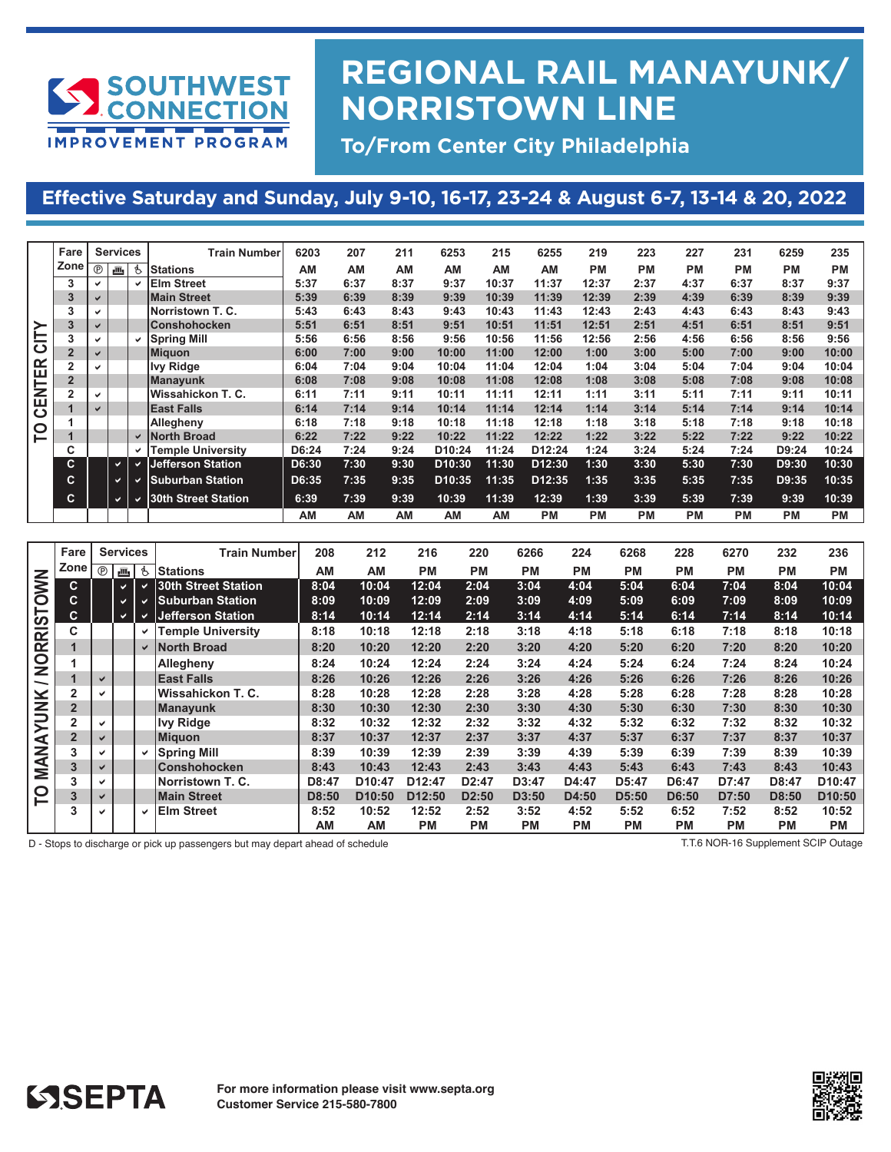

### **REGIONAL RAIL MANAYUNK/ NORRISTOWN LINE**

**To/From Center City Philadelphia**

### **Effective Saturday and Sunday, July 9-10, 16-17, 23-24 & August 6-7, 13-14 & 20, 2022**

**SATURDAY and SUNDAY July 9th - 10th, July 16th - 17th, July 23rd - July 24th, July 30th, 2022**

|               | Fare           | <b>Services</b> |   |    | <b>Train Number</b>      | 6203  | 207  | 211  | 6253                | 215   | 6255               | 219       | 223       | 227       | 231       | 6259      | 235       |
|---------------|----------------|-----------------|---|----|--------------------------|-------|------|------|---------------------|-------|--------------------|-----------|-----------|-----------|-----------|-----------|-----------|
|               | Zone           | $^{\circ}$      | 画 | Ġ. | <b>Stations</b>          | AM    | AM   | AM   | AM                  | AM    | AM                 | <b>PM</b> | <b>PM</b> | <b>PM</b> | <b>PM</b> | <b>PM</b> | <b>PM</b> |
|               | 3              | ✓               |   | ✓  | <b>Elm Street</b>        | 5:37  | 6:37 | 8:37 | 9:37                | 10:37 | 11:37              | 12:37     | 2:37      | 4:37      | 6:37      | 8:37      | 9:37      |
|               | 3              | $\checkmark$    |   |    | <b>Main Street</b>       | 5:39  | 6:39 | 8:39 | 9:39                | 10:39 | 11:39              | 12:39     | 2:39      | 4:39      | 6:39      | 8:39      | 9:39      |
|               | 3              |                 |   |    | Norristown T. C.         | 5:43  | 6:43 | 8:43 | 9:43                | 10:43 | 11:43              | 12:43     | 2:43      | 4:43      | 6:43      | 8:43      | 9:43      |
| ÌΥ            | 3              | $\checkmark$    |   |    | <b>Conshohocken</b>      | 5:51  | 6:51 | 8:51 | 9:51                | 10:51 | 11:51              | 12:51     | 2:51      | 4:51      | 6:51      | 8:51      | 9:51      |
|               | 3              |                 |   | ✓  | <b>Spring Mill</b>       | 5:56  | 6:56 | 8:56 | 9:56                | 10:56 | 11:56              | 12:56     | 2:56      | 4:56      | 6:56      | 8:56      | 9:56      |
| ပ             | $\overline{2}$ | $\checkmark$    |   |    | <b>Miguon</b>            | 6:00  | 7:00 | 9:00 | 10:00               | 11:00 | 12:00              | 1:00      | 3:00      | 5:00      | 7:00      | 9:00      | 10:00     |
| <b>CENTER</b> |                |                 |   |    | <b>Ivy Ridge</b>         | 6:04  | 7:04 | 9:04 | 10:04               | 11:04 | 12:04              | 1:04      | 3:04      | 5:04      | 7:04      | 9:04      | 10:04     |
|               | $\overline{2}$ |                 |   |    | <b>Manayunk</b>          | 6:08  | 7:08 | 9:08 | 10:08               | 11:08 | 12:08              | 1:08      | 3:08      | 5:08      | 7:08      | 9:08      | 10:08     |
|               | $\overline{2}$ |                 |   |    | Wissahickon T. C.        | 6:11  | 7:11 | 9:11 | 10:11               | 11:11 | 12:11              | 1:11      | 3:11      | 5:11      | 7:11      | 9:11      | 10:11     |
|               |                | $\checkmark$    |   |    | <b>East Falls</b>        | 6:14  | 7:14 | 9:14 | 10:14               | 11:14 | 12:14              | 1:14      | 3:14      | 5:14      | 7:14      | 9:14      | 10:14     |
|               |                |                 |   |    | Allegheny                | 6:18  | 7:18 | 9:18 | 10:18               | 11:18 | 12:18              | 1:18      | 3:18      | 5:18      | 7:18      | 9:18      | 10:18     |
| P             |                |                 |   | ✓  | North Broad              | 6:22  | 7:22 | 9:22 | 10:22               | 11:22 | 12:22              | 1:22      | 3:22      | 5:22      | 7:22      | 9:22      | 10:22     |
|               | C              |                 |   | ✔  | <b>Temple University</b> | D6:24 | 7:24 | 9:24 | D <sub>10:24</sub>  | 11:24 | D <sub>12:24</sub> | 1:24      | 3:24      | 5:24      | 7:24      | D9:24     | 10:24     |
|               | C              |                 | v |    | <b>Jefferson Station</b> | D6:30 | 7:30 | 9:30 | D <sub>10</sub> :30 | 11:30 | D <sub>12:30</sub> | 1:30      | 3:30      | 5:30      | 7:30      | D9:30     | 10:30     |
|               | С              |                 |   |    | Suburban Station         | D6:35 | 7:35 | 9:35 | D <sub>10:35</sub>  | 11:35 | D <sub>12:35</sub> | 1:35      | 3:35      | 5:35      | 7:35      | D9:35     | 10:35     |
|               | C.             |                 |   |    | 30th Street Station      | 6:39  | 7:39 | 9:39 | 10:39               | 11:39 | 12:39              | 1:39      | 3:39      | 5:39      | 7:39      | 9:39      | 10:39     |
|               |                |                 |   |    |                          | AM    | AM   | AM   | AM                  | AM    | <b>PM</b>          | <b>PM</b> | <b>PM</b> | <b>PM</b> | <b>PM</b> | <b>PM</b> | <b>PM</b> |

|                | Fare           |   | <b>Services</b> |              | <b>Train Number</b>      | 208   | 212                | 216                | 220                | 6266      | 224       | 6268      | 228       | 6270      | 232       | 236                |
|----------------|----------------|---|-----------------|--------------|--------------------------|-------|--------------------|--------------------|--------------------|-----------|-----------|-----------|-----------|-----------|-----------|--------------------|
|                | Zone           |   | $\circledcirc$  | Ġ.           | Stations                 | AM    | AM                 | <b>PM</b>          | <b>PM</b>          | <b>PM</b> | <b>PM</b> | <b>PM</b> | <b>PM</b> | РM        | <b>PM</b> | <b>PM</b>          |
|                | C.             |   | $\checkmark$    | ◡            | 30th Street Station      | 8:04  | 10:04              | 12:04              | 2:04               | 3:04      | 4:04      | 5:04      | 6:04      | 7:04      | 8:04      | 10:04              |
|                | С              |   |                 |              | <b>Suburban Station</b>  | 8:09  | 10:09              | 12:09              | 2:09               | 3:09      | 4:09      | 5:09      | 6:09      | 7:09      | 8:09      | 10:09              |
|                | C.             |   | ✔               |              | <b>Jefferson Station</b> | 8:14  | 10:14              | 12:14              | 2:14               | 3:14      | 4:14      | 5:14      | 6:14      | 7:14      | 8:14      | 10:14              |
| NORRISTOWN     | C              |   |                 | $\checkmark$ | <b>Temple University</b> | 8:18  | 10:18              | 12:18              | 2:18               | 3:18      | 4:18      | 5:18      | 6:18      | 7:18      | 8:18      | 10:18              |
|                |                |   |                 | ✔            | <b>North Broad</b>       | 8:20  | 10:20              | 12:20              | 2:20               | 3:20      | 4:20      | 5:20      | 6:20      | 7:20      | 8:20      | 10:20              |
|                |                |   |                 |              | <b>Allegheny</b>         | 8:24  | 10:24              | 12:24              | 2:24               | 3:24      | 4:24      | 5:24      | 6:24      | 7:24      | 8:24      | 10:24              |
|                | $\blacksquare$ |   |                 |              | <b>East Falls</b>        | 8:26  | 10:26              | 12:26              | 2:26               | 3:26      | 4:26      | 5:26      | 6:26      | 7:26      | 8:26      | 10:26              |
|                | $\overline{2}$ | ◡ |                 |              | Wissahickon T. C.        | 8:28  | 10:28              | 12:28              | 2:28               | 3:28      | 4:28      | 5:28      | 6:28      | 7:28      | 8:28      | 10:28              |
| <b>AYUNK</b>   | $\overline{2}$ |   |                 |              | <b>Manayunk</b>          | 8:30  | 10:30              | 12:30              | 2:30               | 3:30      | 4:30      | 5:30      | 6:30      | 7:30      | 8:30      | 10:30              |
|                | $\overline{2}$ | ✓ |                 |              | Ivy Ridge                | 8:32  | 10:32              | 12:32              | 2:32               | 3:32      | 4:32      | 5:32      | 6:32      | 7:32      | 8:32      | 10:32              |
|                | $\overline{2}$ | ✔ |                 |              | <b>Miguon</b>            | 8:37  | 10:37              | 12:37              | 2:37               | 3:37      | 4:37      | 5:37      | 6:37      | 7:37      | 8:37      | 10:37              |
| <b>NAN</b>     | 3              | ◡ |                 |              | Spring Mill              | 8:39  | 10:39              | 12:39              | 2:39               | 3:39      | 4:39      | 5:39      | 6:39      | 7:39      | 8:39      | 10:39              |
|                | 3              |   |                 |              | <b>Conshohocken</b>      | 8:43  | 10:43              | 12:43              | 2:43               | 3:43      | 4:43      | 5:43      | 6:43      | 7:43      | 8:43      | 10:43              |
|                | 3              |   |                 |              | Norristown T. C.         | D8:47 | D <sub>10:47</sub> | D12:47             | D2:47              | D3:47     | D4:47     | D5:47     | D6:47     | D7:47     | D8:47     | D <sub>10:47</sub> |
| $\overline{C}$ | 3              |   |                 |              | <b>Main Street</b>       | D8:50 | D <sub>10:50</sub> | D <sub>12:50</sub> | D <sub>2</sub> :50 | D3:50     | D4:50     | D5:50     | D6:50     | D7:50     | D8:50     | D <sub>10:50</sub> |
|                | 3              |   |                 | $\checkmark$ | <b>IEIm Street</b>       | 8:52  | 10:52              | 12:52              | 2:52               | 3:52      | 4:52      | 5:52      | 6:52      | 7:52      | 8:52      | 10:52              |
|                |                |   |                 |              |                          | АM    | AM                 | <b>PM</b>          | <b>PM</b>          | <b>PM</b> | <b>PM</b> | <b>PM</b> | <b>PM</b> | <b>PM</b> | <b>PM</b> | <b>PM</b>          |

D - Stops to discharge or pick up passengers but may depart ahead of schedule T.T.6 NOR-16 Supplement SCIP Outage



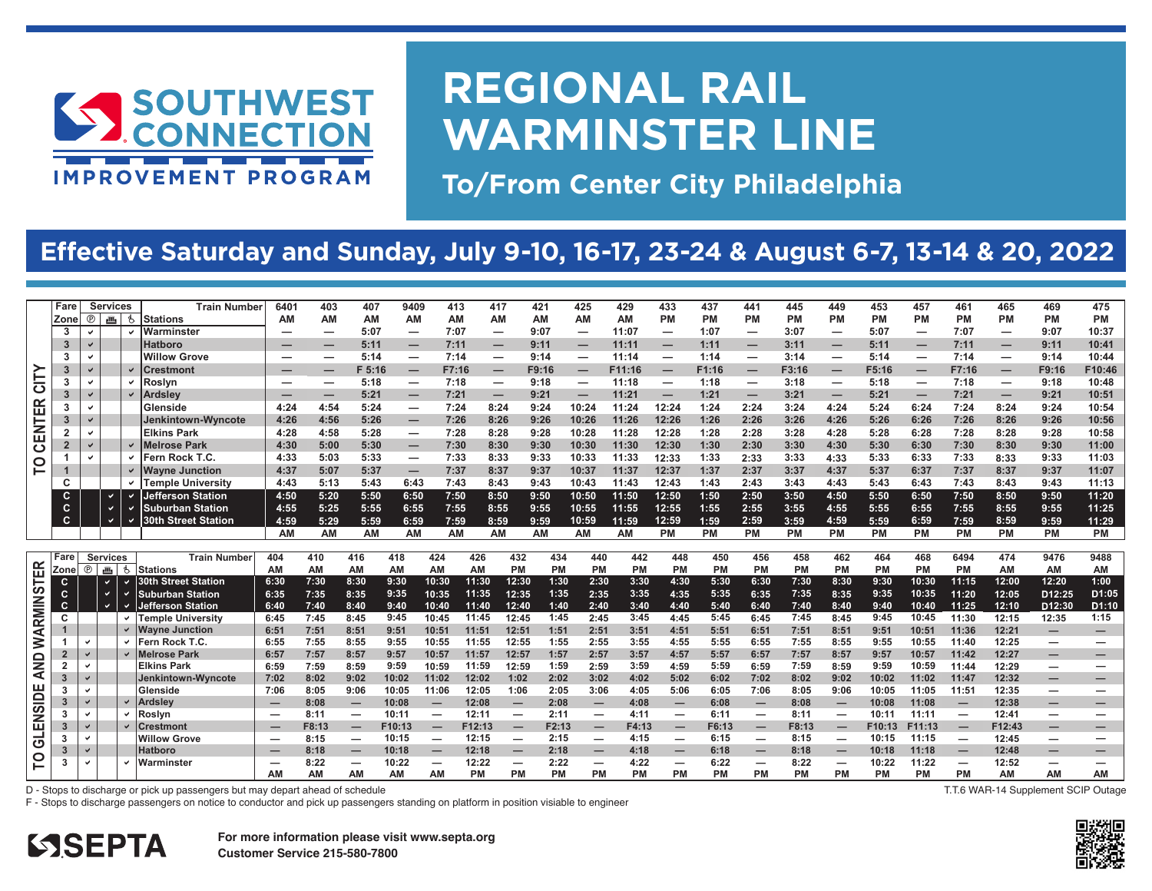

# **REGIONAL RAIL WARMINSTER LINE**

**To/From Center City Philadelphia**

### **Effective Saturday and Sunday, July 9-10, 16-17, 23-24 & August 6-7, 13-14 & 20, 2022**

|                                                            | Fare |                          | <b>Services</b>              | <b>Train Number</b>           | 6401    | 403          | 407                           | 9409                          | 413                           | 417                      | 421                    | 425                      | 429          | 433                           | 437          | 441               | 445<br><b>PM</b> | 449                      | 453               | 457            | 461                           | 465                                                  | 469                | 475                |
|------------------------------------------------------------|------|--------------------------|------------------------------|-------------------------------|---------|--------------|-------------------------------|-------------------------------|-------------------------------|--------------------------|------------------------|--------------------------|--------------|-------------------------------|--------------|-------------------|------------------|--------------------------|-------------------|----------------|-------------------------------|------------------------------------------------------|--------------------|--------------------|
| Zone<br>3                                                  |      | $^{\circ}$               | 画<br>\$                      | <b>Stations</b><br>Warminster | АM<br>- | AM           | <b>AM</b><br>5:07             | AM<br>-                       | AM<br>7:07                    | AM                       | ΑМ<br>9:07             | ΑM                       | AM<br>11:07  | PM                            | PM<br>1:07   | <b>PM</b>         | 3:07             | РM<br>-                  | <b>PM</b><br>5:07 | <b>PM</b>      | PM<br>7:07                    | <b>PM</b>                                            | РM<br>9:07         | <b>PM</b><br>10:37 |
| 3                                                          |      |                          |                              | <b>Hatboro</b>                |         |              | 5:11                          | -                             | 7:11                          |                          | 9:11                   | -<br>-                   | 11:11        | –<br>–                        | 1:11         | -                 | 3:11             | –                        | 5:11              |                | 7:11                          | $\overline{\phantom{m}}$<br>-                        | 9:11               | 10:41              |
| 3                                                          |      |                          |                              | <b>Willow Grove</b>           | -       | -            | 5:14                          | $\overline{\phantom{0}}$      | 7:14                          | —                        | 9:14                   | $\overline{\phantom{0}}$ | 11:14        | -                             | 1:14         | -                 | 3:14             | $\overline{\phantom{0}}$ | 5:14              |                | 7:14                          | $\overline{\phantom{m}}$                             | 9:14               | 10:44              |
| 3                                                          |      | v                        |                              | Crestmont                     |         |              | F 5:16                        |                               | F7:16                         |                          | F9:16                  | -                        | F11:16       |                               | F1:16        | -                 | F3:16            |                          | F5:16             | -              | F7:16                         |                                                      | F9:16              | F10:46             |
| CITY<br>3                                                  |      | $\checkmark$             | $\checkmark$                 | Roslvn                        | –       | —            | 5:18                          | –<br>$\overline{\phantom{0}}$ | 7:18                          | $\overline{\phantom{m}}$ | 9:18                   |                          | 11:18        | $\overline{\phantom{m}}$<br>- | 1:18         | -                 | 3:18             | –<br>-                   | 5:18              |                | 7:18                          | $\overline{\phantom{m}}$<br>$\overline{\phantom{m}}$ | 9:18               | 10:48              |
|                                                            |      | $\checkmark$             |                              | <b>Ardsley</b>                | _       | _            | 5:21                          | _                             | 7:21                          | -                        | 9:21                   |                          | 11:21        | $\overline{\phantom{m}}$      | 1:21         | –                 | 3:21             | –                        | 5:21              |                | 7:21                          |                                                      | 9:21               | 10:51              |
| <b>TER</b><br>-3                                           |      | $\overline{\phantom{0}}$ |                              | Glenside                      | 4:24    | 4:54         | 5:24                          | -                             | 7:24                          | 8:24                     | 9:24                   | 10:24                    | 11:24        | 12:24                         | 1:24         | 2:24              | 3:24             | 4:24                     | 5:24              | -<br>6:24      | 7:24                          | $\overline{\phantom{m}}$<br>8:24                     | 9:24               | 10:54              |
| -3                                                         |      |                          |                              | Jenkintown-Wyncote            | 4:26    | 4:56         | 5:26                          | $\overline{\phantom{0}}$      | 7:26                          | 8:26                     | 9:26                   | 10:26                    | 11:26        | 12:26                         | 1:26         | 2:26              | 3:26             | 4:26                     | 5:26              | 6:26           | 7:26                          | 8:26                                                 | 9:26               | 10:56              |
|                                                            |      | $\checkmark$             |                              | <b>Elkins Park</b>            | 4:28    | 4:58         | 5:28                          | $\overline{\phantom{0}}$      | 7:28                          | 8:28                     | 9:28                   | 10:28                    | 11:28        | 12:28                         | 1:28         | 2:28              | 3:28             | 4:28                     | 5:28              | 6:28           | 7:28                          | 8:28                                                 | 9:28               | 10:58              |
| ؏<br>$\overline{2}$                                        |      | V                        |                              | <b>Melrose Park</b>           | 4:30    | 5:00         | 5:30                          | $\overline{\phantom{0}}$      | 7:30                          | 8:30                     | 9:30                   | 10:30                    | 11:30        | 12:30                         | 1:30         | 2:30              | 3:30             | 4:30                     | 5:30              | 6:30           | 7:30                          | 8:30                                                 | 9:30               | 11:00              |
| $\overline{c}$                                             |      | $\checkmark$             | $\checkmark$                 | Fern Rock T.C.                | 4:33    | 5:03         | 5:33                          | -                             | 7:33                          | 8:33                     | 9:33                   | 10:33                    | 11:33        | 12:33                         | 1:33         | 2:33              | 3:33             | 4:33                     | 5:33              | 6:33           | 7:33                          | 8:33                                                 | 9:33               | 11:03              |
| P                                                          |      |                          |                              | <b>Wayne Junction</b>         | 4:37    | 5:07         | 5:37                          | –                             | 7:37                          | 8:37                     | 9:37                   | 10:37                    | 11:37        | 12:37                         | 1:37         | 2:37              | 3:37             | 4:37                     | 5:37              | 6:37           | 7:37                          | 8:37                                                 | 9:37               | 11:07              |
| C                                                          |      |                          |                              | <b>Temple University</b>      | 4:43    | 5:13         | 5:43                          | 6:43                          | 7:43                          | 8:43                     | 9:43                   | 10:43                    | 11:43        | 12:43                         | 1:43         | 2:43              | 3:43             | 4:43                     | 5:43              | 6:43           | 7:43                          | 8:43                                                 | 9:43               | 11:13              |
| c                                                          |      |                          | $\checkmark$                 | Jefferson Station             | 4:50    | 5:20         | 5:50                          | 6:50                          | 7:50                          | 8:50                     | 9:50                   | 10:50                    | 11:50        | 12:50                         | 1:50         | 2:50              | 3:50             | 4:50                     | 5:50              | 6:50           | 7:50                          | 8:50                                                 | 9:50               | 11:20              |
| $\mathbf c$                                                |      |                          |                              | <b>Suburban Station</b>       | 4:55    | 5:25         | 5:55                          | 6:55                          | 7:55                          | 8:55                     | 9:55                   | 10:55                    | 11:55        | 12:55                         | 1:55         | 2:55              | 3:55             | 4:55                     | 5:55              | 6:55           | 7:55                          | 8:55                                                 | 9:55               | 11:25              |
| C                                                          |      |                          | $\checkmark$<br>$\checkmark$ | <b>30th Street Station</b>    | 4:59    | 5:29         | 5:59                          | 6:59                          | 7:59                          | 8:59                     | 9:59                   | 10:59                    | 11:59        | 12:59                         | 1:59         | 2:59              | 3:59             | 4:59                     | 5:59              | 6:59           | 7:59                          | 8:59                                                 | 9:59               | 11:29              |
|                                                            |      |                          |                              |                               | AM      | AM           | AM                            | AM                            | AM                            | AM                       | AM                     | AM                       | AM           | PM                            | <b>PM</b>    | <b>PM</b>         | <b>PM</b>        | <b>PM</b>                | PM                | PM             | <b>PM</b>                     | <b>PM</b>                                            | <b>PM</b>          | PM                 |
|                                                            |      |                          |                              |                               |         |              |                               |                               |                               |                          |                        |                          |              |                               |              |                   |                  |                          |                   |                |                               |                                                      |                    |                    |
| Fare                                                       |      | <b>Services</b>          |                              | <b>Train Number</b>           | 404     | 410          | 416                           | 418                           | 424                           | 426                      | 432<br>434             | 440                      | 442          | 448                           | 450          | 456               | 458              | 462                      | 464               | 468            | 6494                          | 474                                                  | 9476               | 9488               |
| Zone                                                       |      | $^{\circ}$               | 画も                           | <b>Stations</b>               | AM      | ΑM           | AM                            | AM                            | AM                            | AM                       | <b>PM</b><br><b>PM</b> | <b>PM</b>                | PM           | <b>PM</b>                     | <b>PM</b>    | <b>PM</b>         | PM               | PM                       | <b>PM</b>         | PM             | PM                            | AM                                                   | AM                 | AM                 |
| C                                                          |      |                          |                              |                               |         |              |                               |                               |                               |                          |                        |                          |              |                               |              |                   |                  |                          |                   |                |                               |                                                      |                    | 1:00               |
| c                                                          |      |                          | $\checkmark$                 | 30th Street Station           | 6:30    | 7:30         | 8:30                          | 9:30                          | 10:30                         | 11:30                    | 12:30<br>1:30          | 2:30                     | 3:30         | 4:30                          | 5:30         | 6:30              | 7:30             | 8:30                     | 9:30              | 10:30          | 11:15                         | 12:00                                                | 12:20              |                    |
|                                                            |      | $\checkmark$             | $\checkmark$                 | <b>Suburban Station</b>       | 6:35    | 7:35         | 8:35                          | 9:35                          | 10:35                         | 11:35                    | 12:35<br>1:35          | 2:35                     | 3:35         | 4:35                          | 5:35         | 6:35              | 7:35             | 8:35                     | 9:35              | 10:35          | 11:20                         | 12:05                                                | D <sub>12:25</sub> | D1:05              |
| c                                                          |      |                          |                              | efferson Station              | 6:40    | 7:40         | 8:40                          | 9:40                          | 10:40                         | 11:40                    | 12:40<br>1:40          | 2:40                     | 3:40         | 4:40                          | 5:40         | 6:40              | 7:40             | 8:40                     | 9:40              | 10:40          | 11:25                         | 12:10                                                | D <sub>12:30</sub> | D1:10              |
| С                                                          |      |                          |                              | <b>Temple University</b>      | 6:45    | 7:45         | 8:45                          | 9:45                          | 10:45                         | 11:45                    | 12:45<br>1:45          | 2:45                     | 3:45         | 4:45                          | 5:45         | 6:45              | 7:45             | 8:45                     | 9:45              | 10:45          | 11:30                         | 12:15                                                | 12:35              | 1:15               |
|                                                            |      |                          |                              | <b>Wayne Junction</b>         | 6:51    | 7:51         | 8:51                          | 9:51                          | 10:51                         | 11:51                    | 12:51<br>1:51          | 2:51                     | 3:51         | 4:51                          | 5:51         | 6:51              | 7:51             | 8:51                     | 9:51              | 10:51          | 11:36                         | 12:21                                                | –                  | -                  |
|                                                            |      | $\checkmark$             |                              | Fern Rock T.C.                | 6:55    | 7:55         | 8:55                          | 9:55                          | 10:55                         | 11:55                    | 12:55<br>1:55          | 2:55                     | 3:55         | 4:55                          | 5:55         | 6:55              | 7:55             | 8:55                     | 9:55              | 10:55          | 11:40                         | 12:25                                                | –                  |                    |
| $\overline{2}$                                             |      | $\checkmark$             |                              | <b>Melrose Park</b>           | 6:57    | 7:57         | 8:57                          | 9:57                          | 10:57                         | 11:57                    | 12:57<br>1:57          | 2:57                     | 3:57         | 4:57                          | 5:57         | 6:57              | 7:57             | 8:57                     | 9:57              | 10:57          | 11:42                         | 12:27                                                | –                  | -                  |
| $\overline{2}$                                             |      | $\checkmark$             |                              | <b>Elkins Park</b>            | 6:59    | 7:59         | 8:59                          | 9:59                          | 10:59                         | 11:59                    | 1:59<br>12:59          | 2:59                     | 3:59         | 4:59                          | 5:59         | 6:59              | 7:59             | 8:59                     | 9:59              | 10:59          | 11:44                         | 12:29                                                | –                  |                    |
| 3                                                          |      |                          |                              | Jenkintown-Wvncote            | 7:02    | 8:02         | 9:02                          | 10:02                         | 11:02                         | 12:02                    | 1:02<br>2:02           | 3:02                     | 4:02         | 5:02                          | 6:02         | 7:02              | 8:02             | 9:02                     | 10:02             | 11:02          | 11:47                         | 12:32                                                | –                  | -                  |
| 3                                                          |      | $\checkmark$             |                              | Glenside                      | 7:06    | 8:05         | 9:06                          | 10:05                         | 11:06                         | 12:05                    | 2:05<br>1:06           | 3:06                     | 4:05         | 5:06                          | 6:05         | 7:06              | 8:05             | 9:06                     | 10:05             | 11:05          | 11:51                         | 12:35                                                | –                  |                    |
| 3                                                          |      | $\checkmark$             |                              | <b>Ardslev</b>                | –       | 8:08         | -                             | 10:08                         |                               | 12:08                    | 2:08<br>–              | -                        | 4:08         |                               | 6:08         | $\qquad \qquad -$ | 8:08             | –                        | 10:08             | 11:08          | -                             | 12:38                                                | -                  | -                  |
| 3                                                          |      | $\checkmark$             |                              | Roslyn                        | -       | 8:11         |                               | 10:11                         | $\overline{\phantom{0}}$      | 12:11                    | 2:11                   | $\overline{\phantom{0}}$ | 4:11         | —                             | 6:11         |                   | 8:11             | $\overline{\phantom{0}}$ | 10:11             | 11:11          |                               | 12:41                                                | —                  | —                  |
| 3                                                          |      | ✓                        |                              | <b>Crestmont</b>              | –       | F8:13        | -                             | F10:13                        | $\overline{\phantom{0}}$      | F12:13                   | F2:13                  | –                        | F4:13        | —                             | F6:13        |                   | F8:13            | –                        | F10:13            | F11:13         |                               | F12:43                                               | –                  | -                  |
| 3                                                          |      |                          |                              | <b>Willow Grove</b>           |         | 8:15         | $\overline{\phantom{0}}$      | 10:15                         | $\overline{\phantom{0}}$      | 12:15                    | 2:15                   | $\overline{\phantom{0}}$ | 4:15         | -                             | 6:15         |                   | 8:15             |                          | 10:15             | 11:15          |                               | 12:45                                                | —                  | —                  |
| <b>WARMINSTER</b><br>AND<br><b>GLENSIDE</b><br>3<br>p<br>3 |      | $\checkmark$<br>✓        |                              | <b>Hatboro</b><br>Warminster  | –<br>-  | 8:18<br>8:22 | –<br>$\overline{\phantom{0}}$ | 10:18<br>10:22                | -<br>$\overline{\phantom{0}}$ | 12:18<br>12:22           | 2:18<br>–<br>2:22      | -                        | 4:18<br>4:22 | –<br>-                        | 6:18<br>6:22 | –                 | 8:18<br>8:22     |                          | 10:18<br>10:22    | 11:18<br>11:22 | –<br>$\overline{\phantom{0}}$ | 12:48<br>12:52                                       | –<br>—             | —<br>—             |

F - Stops to discharge passengers on notice to conductor and pick up passengers standing on platform in position visiable to engineer

**T.T.6 WAR-14 Supplement SCIP Outage**



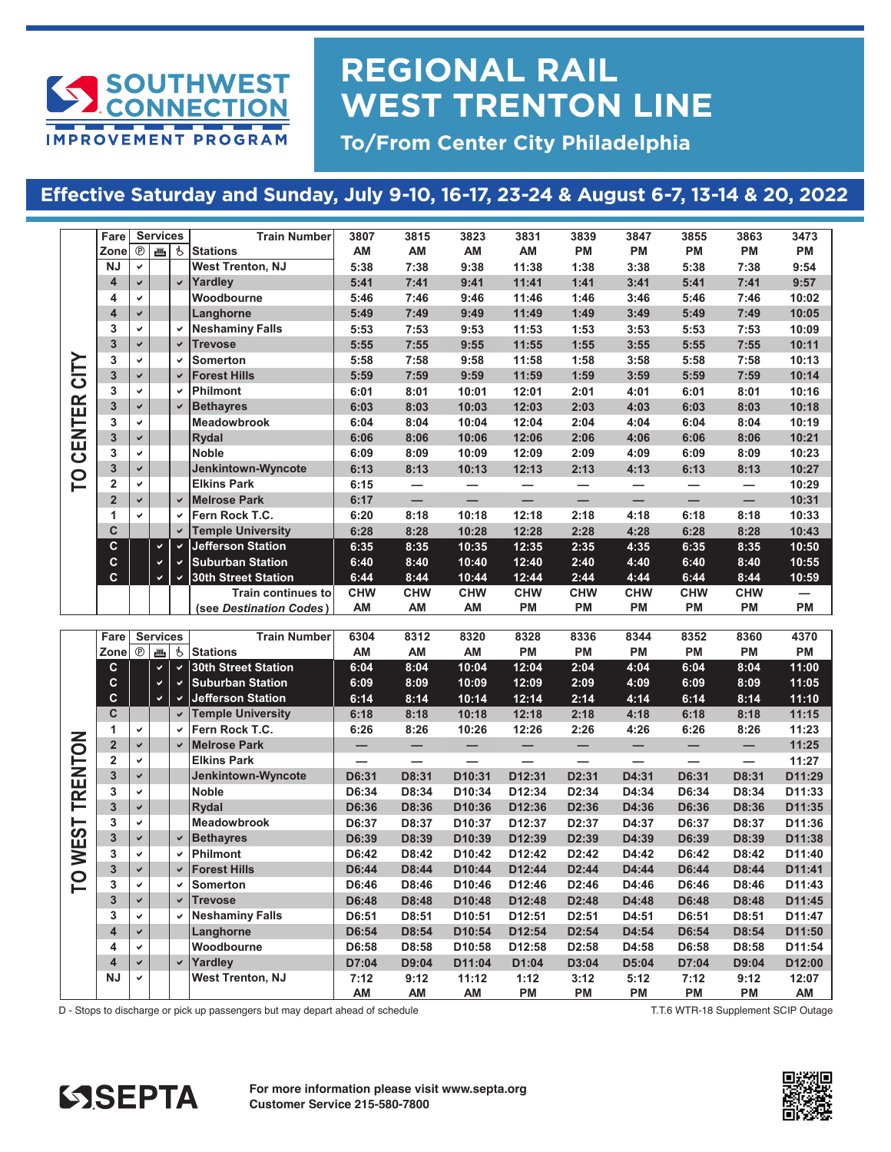

## **REGIONAL RAIL WEST TRENTON LINE**

**To/From Center City Philadelphia**

#### **Effective Saturday and Sunday, July 9-10, 16-17, 23-24 & August 6-7, 13-14 & 20, 2022 SATURDAY and SUNDAY July 9th - 10th, July 16th - 17th, July 23rd - July 24th, July 30th, 2022**

|            | Fare                    |              | <b>Services</b> |                | <b>Train Number</b>        | 3807                     | 3815                     | 3823                     | 3831                     | 3839                     | 3847                     | 3855                     | 3863                     | 3473   |
|------------|-------------------------|--------------|-----------------|----------------|----------------------------|--------------------------|--------------------------|--------------------------|--------------------------|--------------------------|--------------------------|--------------------------|--------------------------|--------|
|            | Zone                    | $^{\circ}$   | 画               | $\mathfrak{F}$ | <b>Stations</b>            | AM                       | AM                       | AM                       | AM                       | <b>PM</b>                | PM                       | PM                       | <b>PM</b>                | PM     |
|            | <b>NJ</b>               | $\checkmark$ |                 |                | <b>West Trenton, NJ</b>    | 5:38                     | 7:38                     | 9:38                     | 11:38                    | 1:38                     | 3:38                     | 5:38                     | 7:38                     | 9:54   |
|            | 4                       | $\checkmark$ |                 | $\checkmark$   | Yardley                    | 5:41                     | 7:41                     | 9:41                     | 11:41                    | 1:41                     | 3:41                     | 5:41                     | 7:41                     | 9:57   |
|            | 4                       | $\checkmark$ |                 |                | Woodbourne                 | 5:46                     | 7:46                     | 9:46                     | 11:46                    | 1:46                     | 3:46                     | 5:46                     | 7:46                     | 10:02  |
|            | $\overline{\mathbf{4}}$ | $\checkmark$ |                 |                | Langhorne                  | 5:49                     | 7:49                     | 9:49                     | 11:49                    | 1:49                     | 3:49                     | 5:49                     | 7:49                     | 10:05  |
|            | 3                       | V            |                 | ✓              | <b>Neshaminy Falls</b>     | 5:53                     | 7:53                     | 9:53                     | 11:53                    | 1:53                     | 3:53                     | 5:53                     | 7:53                     | 10:09  |
|            | $\overline{3}$          | $\checkmark$ |                 | $\checkmark$   | <b>Trevose</b>             | 5:55                     | 7:55                     | 9:55                     | 11:55                    | 1:55                     | 3:55                     | 5:55                     | 7:55                     | 10:11  |
|            | 3                       | V            |                 | $\checkmark$   | <b>Somerton</b>            | 5:58                     | 7:58                     | 9:58                     | 11:58                    | 1:58                     | 3:58                     | 5:58                     | 7:58                     | 10:13  |
| <b>NLD</b> | $\overline{3}$          | $\checkmark$ |                 | $\checkmark$   | <b>Forest Hills</b>        | 5:59                     | 7:59                     | 9:59                     | 11:59                    | 1:59                     | 3:59                     | 5:59                     | 7:59                     | 10:14  |
|            | 3                       | $\checkmark$ |                 | V              | <b>Philmont</b>            | 6:01                     | 8:01                     | 10:01                    | 12:01                    | 2:01                     | 4:01                     | 6:01                     | 8:01                     | 10:16  |
| CENTER     | $\overline{3}$          | $\checkmark$ |                 | $\checkmark$   | <b>Bethayres</b>           | 6:03                     | 8:03                     | 10:03                    | 12:03                    | 2:03                     | 4:03                     | 6:03                     | 8:03                     | 10:18  |
|            | 3                       | V            |                 |                | Meadowbrook                | 6:04                     | 8:04                     | 10:04                    | 12:04                    | 2:04                     | 4:04                     | 6:04                     | 8:04                     | 10:19  |
|            | $\overline{3}$          | $\checkmark$ |                 |                | <b>Rydal</b>               | 6:06                     | 8:06                     | 10:06                    | 12:06                    | 2:06                     | 4:06                     | 6:06                     | 8:06                     | 10:21  |
|            | 3                       | V            |                 |                | <b>Noble</b>               | 6:09                     | 8:09                     | 10:09                    | 12:09                    | 2:09                     | 4:09                     | 6:09                     | 8:09                     | 10:23  |
|            | $\overline{3}$          | $\checkmark$ |                 |                | Jenkintown-Wyncote         | 6:13                     | 8:13                     | 10:13                    | 12:13                    | 2:13                     | 4:13                     | 6:13                     | 8:13                     | 10:27  |
| P          | $\overline{2}$          | $\checkmark$ |                 |                | <b>Elkins Park</b>         | 6:15                     | $\overline{\phantom{0}}$ |                          | $\overline{\phantom{0}}$ | —                        | $\overline{\phantom{0}}$ | $\overline{\phantom{0}}$ | -                        | 10:29  |
|            | $\overline{2}$          | $\checkmark$ |                 | $\checkmark$   | <b>Melrose Park</b>        | 6:17                     | $\overline{\phantom{0}}$ | $\overline{\phantom{0}}$ | $\overline{\phantom{0}}$ | $\equiv$                 | $\overline{\phantom{0}}$ | $\overline{\phantom{0}}$ | $\overline{\phantom{0}}$ | 10:31  |
|            | $\mathbf{1}$            | V            |                 | ✓              | Fern Rock T.C.             | 6:20                     | 8:18                     | 10:18                    | 12:18                    | 2:18                     | 4:18                     | 6:18                     | 8:18                     | 10:33  |
|            | C                       |              |                 | $\checkmark$   | <b>Temple University</b>   | 6:28                     | 8:28                     | 10:28                    | 12:28                    | 2:28                     | 4:28                     | 6:28                     | 8:28                     | 10:43  |
|            | C                       |              | $\checkmark$    | $\checkmark$   | <b>Jefferson Station</b>   | 6:35                     | 8:35                     | 10:35                    | 12:35                    | 2:35                     | 4:35                     | 6:35                     | 8:35                     | 10:50  |
|            | $\mathbf c$             |              | $\checkmark$    | V              | <b>Suburban Station</b>    | 6:40                     | 8:40                     | 10:40                    | 12:40                    | 2:40                     | 4:40                     | 6:40                     | 8:40                     | 10:55  |
|            | $\mathbf{c}$            |              | $\checkmark$    | $\checkmark$   | <b>30th Street Station</b> | 6:44                     | 8:44                     | 10:44                    | 12:44                    | 2:44                     | 4:44                     | 6:44                     | 8:44                     | 10:59  |
|            |                         |              |                 |                | <b>Train continues to</b>  | <b>CHW</b>               | <b>CHW</b>               | <b>CHW</b>               | <b>CHW</b>               | <b>CHW</b>               | <b>CHW</b>               | <b>CHW</b>               | <b>CHW</b>               |        |
|            |                         |              |                 |                | (see Destination Codes)    | AM                       | AM                       | AM                       | PM                       | <b>PM</b>                | PM                       | PM                       | <b>PM</b>                | PM     |
|            |                         |              |                 |                |                            |                          |                          |                          |                          |                          |                          |                          |                          |        |
|            | Fare                    |              | <b>Services</b> |                | <b>Train Number</b>        | 6304                     | 8312                     | 8320                     | 8328                     | 8336                     | 8344                     | 8352                     | 8360                     | 4370   |
|            | Zone                    | $^{\circ}$   | jî,             | $\mathbf{r}$   | <b>Stations</b>            | AM                       | AM                       | AM                       | PM                       | <b>PM</b>                | PM                       | PM                       | PM                       | PM     |
|            | C.                      |              | $\checkmark$    | $\checkmark$   | <b>30th Street Station</b> | 6:04                     | 8:04                     | 10:04                    | 12:04                    | 2:04                     | 4:04                     | 6:04                     | 8:04                     | 11:00  |
|            | C                       |              | $\checkmark$    | $\checkmark$   | <b>Suburban Station</b>    | 6:09                     | 8:09                     | 10:09                    | 12:09                    | 2:09                     | 4:09                     | 6:09                     | 8:09                     | 11:05  |
|            | $\mathbf c$             |              | $\checkmark$    | $\checkmark$   | <b>Jefferson Station</b>   | 6:14                     | 8:14                     | 10:14                    | 12:14                    | 2:14                     | 4:14                     | 6:14                     | 8:14                     | 11:10  |
|            | C.                      |              |                 | $\checkmark$   | <b>Temple University</b>   | 6:18                     | 8:18                     | 10:18                    | 12:18                    | 2:18                     | 4:18                     | 6:18                     | 8:18                     | 11:15  |
|            | $\mathbf{1}$            | $\checkmark$ |                 | $\checkmark$   | Fern Rock T.C.             | 6:26                     | 8:26                     | 10:26                    | 12:26                    | 2:26                     | 4:26                     | 6:26                     | 8:26                     | 11:23  |
| TRENTON    | $\overline{2}$          | $\checkmark$ |                 | $\checkmark$   | <b>Melrose Park</b>        | $\overline{\phantom{0}}$ |                          |                          | $\overline{\phantom{0}}$ | $\overline{\phantom{0}}$ | $\overline{\phantom{0}}$ | $\overline{\phantom{0}}$ | $\overline{\phantom{0}}$ | 11:25  |
|            | $\overline{2}$          | ✓            |                 |                | <b>Elkins Park</b>         |                          | —                        |                          |                          |                          |                          |                          | $\overline{\phantom{0}}$ | 11:27  |
|            | $\overline{3}$          | $\checkmark$ |                 |                | Jenkintown-Wyncote         | D6:31                    | D8:31                    | D10:31                   | D12:31                   | D2:31                    | D4:31                    | D6:31                    | D8:31                    | D11:29 |
|            | 3                       | V            |                 |                | <b>Noble</b>               | D6:34                    | D8:34                    | D10:34                   | D12:34                   | D2:34                    | D4:34                    | D6:34                    | D8:34                    | D11:33 |
|            | $\overline{3}$          | $\checkmark$ |                 |                | <b>Rydal</b>               | D6:36                    | D8:36                    | D10:36                   | D12:36                   | D2:36                    | D4:36                    | D6:36                    | D8:36                    | D11:35 |
|            | 3                       | V            |                 |                | Meadowbrook                | D6:37                    | D8:37                    | D10:37                   | D12:37                   | D2:37                    | D4:37                    | D6:37                    | D8:37                    | D11:36 |
|            | $\overline{3}$          | $\checkmark$ |                 | $\checkmark$   | <b>Bethayres</b>           | D6:39                    | D8:39                    | D <sub>10:39</sub>       | D12:39                   | D2:39                    | D4:39                    | D6:39                    | D8:39                    | D11:38 |
|            | 3                       | V            |                 | ✓              | <b>Philmont</b>            | D6:42                    | D8:42                    | D10:42                   | D12:42                   | D2:42                    | D4:42                    | D6:42                    | D8:42                    | D11:40 |
| TO WEST    | $\overline{3}$          | ✔            |                 | ✔              | <b>Forest Hills</b>        | D6:44                    | D8:44                    | D10:44                   | D12:44                   | D2:44                    | D4:44                    | D6:44                    | D8:44                    | D11:41 |
|            | 3                       | V            |                 | ✓              | <b>Somerton</b>            | D6:46                    | D8:46                    | D10:46                   | D12:46                   | D2:46                    | D4:46                    | D6:46                    | D8:46                    | D11:43 |
|            |                         |              |                 |                |                            |                          |                          |                          |                          |                          |                          |                          |                          |        |

| CITY           | 3                       | $\checkmark$  |                 | V                  | <b>Somerton</b>            | 5:58                     | 7:58                     | 9:58                     | 11:58                    | 1:58                     | 3:58                     | 5:58                     | 7:58                     | 10:13     |
|----------------|-------------------------|---------------|-----------------|--------------------|----------------------------|--------------------------|--------------------------|--------------------------|--------------------------|--------------------------|--------------------------|--------------------------|--------------------------|-----------|
|                | $\overline{3}$          | $\checkmark$  |                 | $\checkmark$       | <b>Forest Hills</b>        | 5:59                     | 7:59                     | 9:59                     | 11:59                    | 1:59                     | 3:59                     | 5:59                     | 7:59                     | 10:14     |
|                | 3                       | $\checkmark$  |                 | $\checkmark$       | <b>Philmont</b>            | 6:01                     | 8:01                     | 10:01                    | 12:01                    | 2:01                     | 4:01                     | 6:01                     | 8:01                     | 10:16     |
|                | $\overline{3}$          | $\checkmark$  |                 | $\checkmark$       | <b>Bethayres</b>           | 6:03                     | 8:03                     | 10:03                    | 12:03                    | 2:03                     | 4:03                     | 6:03                     | 8:03                     | 10:18     |
| <b>CENTER</b>  | 3                       | $\checkmark$  |                 |                    | <b>Meadowbrook</b>         | 6:04                     | 8:04                     | 10:04                    | 12:04                    | 2:04                     | 4:04                     | 6:04                     | 8:04                     | 10:19     |
|                | $\overline{3}$          | $\checkmark$  |                 |                    | <b>Rydal</b>               | 6:06                     | 8:06                     | 10:06                    | 12:06                    | 2:06                     | 4:06                     | 6:06                     | 8:06                     | 10:21     |
|                | 3                       | V             |                 |                    | <b>Noble</b>               | 6:09                     | 8:09                     | 10:09                    | 12:09                    | 2:09                     | 4:09                     | 6:09                     | 8:09                     | 10:23     |
|                | $\overline{3}$          | $\checkmark$  |                 |                    | Jenkintown-Wyncote         | 6:13                     | 8:13                     | 10:13                    | 12:13                    | 2:13                     | 4:13                     | 6:13                     | 8:13                     | 10:27     |
| $\overline{C}$ | $\overline{2}$          | $\checkmark$  |                 |                    | <b>Elkins Park</b>         | 6:15                     | $\overline{\phantom{0}}$ |                          | —                        | —                        |                          | $\overline{\phantom{0}}$ | $\overline{\phantom{0}}$ | 10:29     |
|                | $\overline{2}$          | $\checkmark$  |                 | $\checkmark$       | <b>Melrose Park</b>        | 6:17                     | $\overline{\phantom{0}}$ | $\overline{\phantom{0}}$ | $\equiv$                 | $\overline{\phantom{0}}$ | $\overline{\phantom{0}}$ | $\overline{\phantom{0}}$ | $\overline{\phantom{0}}$ | 10:31     |
|                | 1                       |               |                 | ✓                  | Fern Rock T.C.             | 6:20                     | 8:18                     | 10:18                    | 12:18                    | 2:18                     | 4:18                     | 6:18                     | 8:18                     | 10:33     |
|                | C                       |               |                 | $\checkmark$       | <b>Temple University</b>   | 6:28                     | 8:28                     | 10:28                    | 12:28                    | 2:28                     | 4:28                     | 6:28                     | 8:28                     | 10:43     |
|                | C                       |               | $\checkmark$    | $\checkmark$       | <b>Jefferson Station</b>   | 6:35                     | 8:35                     | 10:35                    | 12:35                    | 2:35                     | 4:35                     | 6:35                     | 8:35                     | 10:50     |
|                | $\mathbf{C}$            |               | $\checkmark$    | $\checkmark$       | <b>Suburban Station</b>    | 6:40                     | 8:40                     | 10:40                    | 12:40                    | 2:40                     | 4:40                     | 6:40                     | 8:40                     | 10:55     |
|                | C                       |               | V               | V                  | <b>30th Street Station</b> | 6:44                     | 8:44                     | 10:44                    | 12:44                    | 2:44                     | 4:44                     | 6:44                     | 8:44                     | 10:59     |
|                |                         |               |                 |                    | <b>Train continues to</b>  | <b>CHW</b>               | <b>CHW</b>               | <b>CHW</b>               | <b>CHW</b>               | <b>CHW</b>               | <b>CHW</b>               | <b>CHW</b>               | <b>CHW</b>               |           |
|                |                         |               |                 |                    | (see Destination Codes)    | AM                       | AM                       | AM                       | PM                       | <b>PM</b>                | PM                       | <b>PM</b>                | PM                       | <b>PM</b> |
|                |                         |               |                 |                    |                            |                          |                          |                          |                          |                          |                          |                          |                          |           |
|                | Fare                    |               | <b>Services</b> |                    | <b>Train Number</b>        | 6304                     | 8312                     | 8320                     | 8328                     | 8336                     | 8344                     | 8352                     | 8360                     | 4370      |
|                | Zone                    | $^\copyright$ | 画               | $\mathbf{\hat{P}}$ | <b>Stations</b>            | AM                       | AM                       | AM                       | PM                       | <b>PM</b>                | PM                       | PM                       | PM                       | PM        |
|                | C                       |               | V               | $\checkmark$       | 30th Street Station        | 6:04                     | 8:04                     | 10:04                    | 12:04                    | 2:04                     | 4:04                     | 6:04                     | 8:04                     | 11:00     |
|                | $\mathbf{c}$            |               | $\checkmark$    | $\checkmark$       | <b>Suburban Station</b>    | 6:09                     | 8:09                     | 10:09                    | 12:09                    | 2:09                     | 4:09                     | 6:09                     | 8:09                     | 11:05     |
|                | C.                      |               | $\checkmark$    | $\checkmark$       | <b>Jefferson Station</b>   | 6:14                     | 8:14                     | 10:14                    | 12:14                    | 2:14                     | 4:14                     | 6:14                     | 8:14                     | 11:10     |
|                | C                       |               |                 | $\checkmark$       | <b>Temple University</b>   | 6:18                     | 8:18                     | 10:18                    | 12:18                    | 2:18                     | 4:18                     | 6:18                     | 8:18                     | 11:15     |
|                | 1                       | $\checkmark$  |                 | $\checkmark$       | Fern Rock T.C.             | 6:26                     | 8:26                     | 10:26                    | 12:26                    | 2:26                     | 4:26                     | 6:26                     | 8:26                     | 11:23     |
|                | $\overline{2}$          | $\checkmark$  |                 | $\checkmark$       | <b>Melrose Park</b>        | $\overline{\phantom{0}}$ | $\overline{\phantom{0}}$ | $\overline{\phantom{0}}$ | $\overline{\phantom{0}}$ |                          | $\overline{\phantom{0}}$ | $\overline{\phantom{0}}$ | $\overline{\phantom{0}}$ | 11:25     |
| TRENTON        | $\overline{2}$          | V             |                 |                    | <b>Elkins Park</b>         | —                        | $\overline{\phantom{0}}$ |                          |                          | $\overline{\phantom{0}}$ | —                        |                          | $\overline{\phantom{0}}$ | 11:27     |
|                | $\overline{\mathbf{3}}$ | $\checkmark$  |                 |                    | Jenkintown-Wyncote         | D6:31                    | D8:31                    | D10:31                   | D12:31                   | D2:31                    | D4:31                    | D6:31                    | D8:31                    | D11:29    |
|                | 3                       | V             |                 |                    | <b>Noble</b>               | D6:34                    | D8:34                    | D10:34                   | D12:34                   | D2:34                    | D4:34                    | D6:34                    | D8:34                    | D11:33    |
|                | $\overline{3}$          | $\checkmark$  |                 |                    | <b>Rvdal</b>               | D6:36                    | D8:36                    | D10:36                   | D12:36                   | D2:36                    | D4:36                    | D6:36                    | D8:36                    | D11:35    |
| TO WEST        | 3                       | $\checkmark$  |                 |                    | <b>Meadowbrook</b>         | D6:37                    | D8:37                    | D10:37                   | D12:37                   | D2:37                    | D4:37                    | D6:37                    | D8:37                    | D11:36    |
|                | $\overline{\mathbf{3}}$ | $\checkmark$  |                 | $\checkmark$       | <b>Bethayres</b>           | D6:39                    | D8:39                    | D10:39                   | D12:39                   | D2:39                    | D4:39                    | D6:39                    | D8:39                    | D11:38    |
|                | 3                       | $\checkmark$  |                 | ✓                  | Philmont                   | D6:42                    | D8:42                    | D10:42                   | D12:42                   | D2:42                    | D4:42                    | D6:42                    | D8:42                    | D11:40    |
|                | 3                       | $\checkmark$  |                 | $\checkmark$       | <b>Forest Hills</b>        | D6:44                    | D8:44                    | D10:44                   | D12:44                   | D <sub>2</sub> :44       | D4:44                    | D6:44                    | D8:44                    | D11:41    |
|                | 3                       | v             |                 | $\checkmark$       | Somerton                   | D6:46                    | D8:46                    | D10:46                   | D12:46                   | D2:46                    | D4:46                    | D6:46                    | D8:46                    | D11:43    |
|                | 3                       | $\checkmark$  |                 | $\checkmark$       | <b>Trevose</b>             | D6:48                    | D8:48                    | D10:48                   | D12:48                   | D2:48                    | D4:48                    | D6:48                    | D8:48                    | D11:45    |
|                | 3                       | $\checkmark$  |                 | V                  | <b>Neshaminy Falls</b>     | D6:51                    | D8:51                    | D10:51                   | D12:51                   | D2:51                    | D4:51                    | D6:51                    | D8:51                    | D11:47    |
|                | $\overline{\mathbf{4}}$ | $\checkmark$  |                 |                    | Langhorne                  | D6:54                    | D8:54                    | D10:54                   | D12:54                   | D <sub>2:54</sub>        | D4:54                    | D6:54                    | D8:54                    | D11:50    |
|                | 4                       | V             |                 |                    | Woodbourne                 | D6:58                    | D8:58                    | D10:58                   | D12:58                   | D2:58                    | D4:58                    | D6:58                    | D8:58                    | D11:54    |
|                | 4                       | $\checkmark$  |                 | $\checkmark$       | Yardley                    | D7:04                    | D9:04                    | D11:04                   | D1:04                    | D3:04                    | D5:04                    | D7:04                    | D9:04                    | D12:00    |
|                | <b>NJ</b>               | $\checkmark$  |                 |                    | <b>West Trenton, NJ</b>    | 7:12                     | 9:12                     | 11:12                    | 1:12                     | 3:12                     | 5:12                     | 7:12                     | 9:12                     | 12:07     |
|                |                         |               |                 |                    |                            | AM                       | AM                       | AM                       | PM                       | <b>PM</b>                | PM                       | PM                       | PM                       | AM        |

D - Stops to discharge or pick up passengers but may depart ahead of schedule

**AM AM AM PM PM PM PM PM AM**



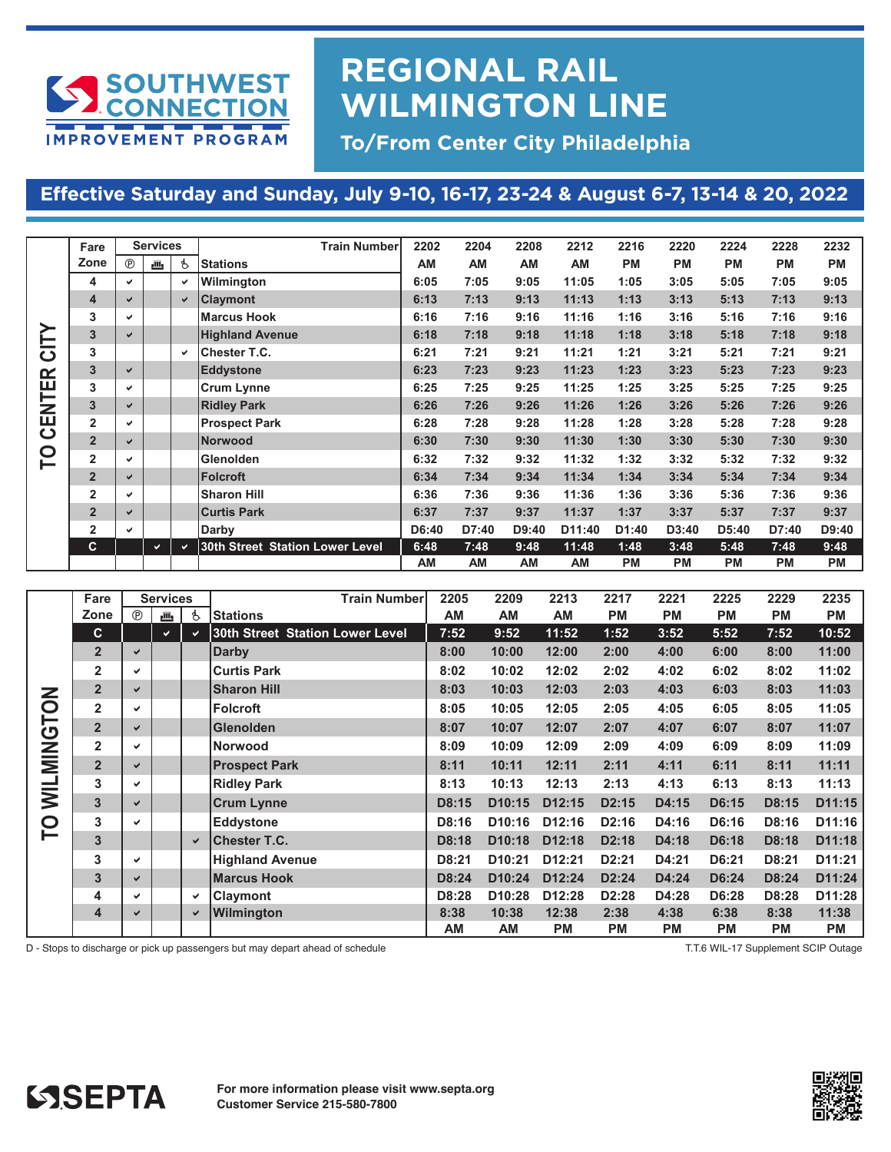

## **REGIONAL RAIL WILMINGTON LINE**

**To/From Center City Philadelphia**

### Effective Saturday and Sunday, July 9-10, 16-17, 23-24 & August 6-7, 13-14 & 20, 2022

|       | Fare           |              | <b>Services</b> |              | <b>Train Number</b>             | 2202      | 2204      | 2208  | 2212      | 2216      | 2220      | 2224      | 2228      | 2232      |
|-------|----------------|--------------|-----------------|--------------|---------------------------------|-----------|-----------|-------|-----------|-----------|-----------|-----------|-----------|-----------|
|       | Zone           | $^{\circ}$   | 画               | Ġ.           | <b>Stations</b>                 | <b>AM</b> | AM        | AM    | AM        | <b>PM</b> | <b>PM</b> | <b>PM</b> | <b>PM</b> | <b>PM</b> |
|       | 4              | ✓            |                 | ✓            | Wilmington                      | 6:05      | 7:05      | 9:05  | 11:05     | 1:05      | 3:05      | 5:05      | 7:05      | 9:05      |
|       | $\overline{4}$ | ✔            |                 | V            | <b>Claymont</b>                 | 6:13      | 7:13      | 9:13  | 11:13     | 1:13      | 3:13      | 5:13      | 7:13      | 9:13      |
|       | 3              | ✓            |                 |              | <b>Marcus Hook</b>              | 6:16      | 7:16      | 9:16  | 11:16     | 1:16      | 3:16      | 5:16      | 7:16      | 9:16      |
|       | 3              | $\checkmark$ |                 |              | <b>Highland Avenue</b>          | 6:18      | 7:18      | 9:18  | 11:18     | 1:18      | 3:18      | 5:18      | 7:18      | 9:18      |
| CITY  | 3              |              |                 | $\checkmark$ | <b>Chester T.C.</b>             | 6:21      | 7:21      | 9:21  | 11:21     | 1:21      | 3:21      | 5:21      | 7:21      | 9:21      |
|       | 3              | $\checkmark$ |                 |              | <b>Eddystone</b>                | 6:23      | 7:23      | 9:23  | 11:23     | 1:23      | 3:23      | 5:23      | 7:23      | 9:23      |
| ΞŔ    | 3              | $\checkmark$ |                 |              | <b>Crum Lynne</b>               | 6:25      | 7:25      | 9:25  | 11:25     | 1:25      | 3:25      | 5:25      | 7:25      | 9:25      |
| CENTI | $\overline{3}$ | $\checkmark$ |                 |              | <b>Ridley Park</b>              | 6:26      | 7:26      | 9:26  | 11:26     | 1:26      | 3:26      | 5:26      | 7:26      | 9:26      |
|       | $\overline{2}$ | v            |                 |              | <b>Prospect Park</b>            | 6:28      | 7:28      | 9:28  | 11:28     | 1:28      | 3:28      | 5:28      | 7:28      | 9:28      |
|       | $\overline{2}$ | ✓            |                 |              | <b>Norwood</b>                  | 6:30      | 7:30      | 9:30  | 11:30     | 1:30      | 3:30      | 5:30      | 7:30      | 9:30      |
| P     | $\overline{2}$ | ✓            |                 |              | <b>Glenolden</b>                | 6:32      | 7:32      | 9:32  | 11:32     | 1:32      | 3:32      | 5:32      | 7:32      | 9:32      |
|       | $\overline{2}$ | ✓            |                 |              | <b>Folcroft</b>                 | 6:34      | 7:34      | 9:34  | 11:34     | 1:34      | 3:34      | 5:34      | 7:34      | 9:34      |
|       | $\overline{2}$ | v            |                 |              | <b>Sharon Hill</b>              | 6:36      | 7:36      | 9:36  | 11:36     | 1:36      | 3:36      | 5:36      | 7:36      | 9:36      |
|       | $\overline{2}$ | ✔            |                 |              | <b>Curtis Park</b>              | 6:37      | 7:37      | 9:37  | 11:37     | 1:37      | 3:37      | 5:37      | 7:37      | 9:37      |
|       | $\overline{2}$ | v            |                 |              | Darby                           | D6:40     | D7:40     | D9:40 | D11:40    | D1:40     | D3:40     | D5:40     | D7:40     | D9:40     |
|       | C              |              | $\checkmark$    | $\checkmark$ | 30th Street Station Lower Level | 6:48      | 7:48      | 9:48  | 11:48     | 1:48      | 3:48      | 5:48      | 7:48      | 9:48      |
|       |                |              |                 |              |                                 | <b>AM</b> | <b>AM</b> | AM    | <b>AM</b> | <b>PM</b> | <b>PM</b> | <b>PM</b> | <b>PM</b> | <b>PM</b> |

|            | Fare                    |              | <b>Services</b> |              | <b>Train Numberl</b>            | 2205  | 2209                | 2213               | 2217               | 2221      | 2225      | 2229      | 2235      |
|------------|-------------------------|--------------|-----------------|--------------|---------------------------------|-------|---------------------|--------------------|--------------------|-----------|-----------|-----------|-----------|
|            | Zone                    | $^{\circ}$   | رأأأع           | ġ.           | <b>Stations</b>                 | AM    | AM                  | AM                 | <b>PM</b>          | <b>PM</b> | <b>PM</b> | <b>PM</b> | PM        |
|            | C.                      |              | $\checkmark$    | $\checkmark$ | 30th Street Station Lower Level | 7:52  | 9:52                | 11:52              | 1:52               | 3:52      | 5:52      | 7:52      | 10:52     |
|            | 2 <sup>2</sup>          | $\checkmark$ |                 |              | <b>Darby</b>                    | 8:00  | 10:00               | 12:00              | 2:00               | 4:00      | 6:00      | 8:00      | 11:00     |
|            | $\overline{2}$          | ✔            |                 |              | <b>Curtis Park</b>              | 8:02  | 10:02               | 12:02              | 2:02               | 4:02      | 6:02      | 8:02      | 11:02     |
|            | $\overline{2}$          | ✔            |                 |              | <b>Sharon Hill</b>              | 8:03  | 10:03               | 12:03              | 2:03               | 4:03      | 6:03      | 8:03      | 11:03     |
|            | $\overline{\mathbf{2}}$ | ✔            |                 |              | <b>Folcroft</b>                 | 8:05  | 10:05               | 12:05              | 2:05               | 4:05      | 6:05      | 8:05      | 11:05     |
| NOLONIN    | $\overline{2}$          | ✔            |                 |              | <b>Glenolden</b>                | 8:07  | 10:07               | 12:07              | 2:07               | 4:07      | 6:07      | 8:07      | 11:07     |
|            | $\overline{2}$          | ✓            |                 |              | <b>Norwood</b>                  | 8:09  | 10:09               | 12:09              | 2:09               | 4:09      | 6:09      | 8:09      | 11:09     |
|            | $\overline{2}$          | $\checkmark$ |                 |              | <b>Prospect Park</b>            | 8:11  | 10:11               | 12:11              | 2:11               | 4:11      | 6:11      | 8:11      | 11:11     |
| <b>NIN</b> | 3                       | ✓            |                 |              | <b>Ridley Park</b>              | 8:13  | 10:13               | 12:13              | 2:13               | 4:13      | 6:13      | 8:13      | 11:13     |
|            | $\overline{\mathbf{3}}$ | $\checkmark$ |                 |              | <b>Crum Lynne</b>               | D8:15 | D10:15              | D12:15             | D <sub>2</sub> :15 | D4:15     | D6:15     | D8:15     | D11:15    |
| P          | 3                       | ✔            |                 |              | <b>Eddystone</b>                | D8:16 | D <sub>10:16</sub>  | D <sub>12:16</sub> | D2:16              | D4:16     | D6:16     | D8:16     | D11:16    |
|            | $\overline{\mathbf{3}}$ |              |                 | $\checkmark$ | <b>Chester T.C.</b>             | D8:18 | D <sub>10</sub> :18 | D <sub>12:18</sub> | D2:18              | D4:18     | D6:18     | D8:18     | D11:18    |
|            | 3                       | ✔            |                 |              | <b>Highland Avenue</b>          | D8:21 | D <sub>10</sub> :21 | D <sub>12:21</sub> | D2:21              | D4:21     | D6:21     | D8:21     | D11:21    |
|            | $\mathbf{3}$            | ✔            |                 |              | <b>Marcus Hook</b>              | D8:24 | D <sub>10</sub> :24 | D12:24             | D2:24              | D4:24     | D6:24     | D8:24     | D11:24    |
|            | 4                       | ✓            |                 | ✓            | Claymont                        | D8:28 | D <sub>10</sub> :28 | D <sub>12:28</sub> | D2:28              | D4:28     | D6:28     | D8:28     | D11:28    |
|            | 4                       | $\checkmark$ |                 | ✔            | Wilmington                      | 8:38  | 10:38               | 12:38              | 2:38               | 4:38      | 6:38      | 8:38      | 11:38     |
|            |                         |              |                 |              |                                 | AM    | <b>AM</b>           | PM                 | <b>PM</b>          | PM        | <b>PM</b> | <b>PM</b> | <b>PM</b> |

D - Stops to discharge or pick up passengers but may depart ahead of schedule T.T.6 WIL-17 Supplement SCIP Outage